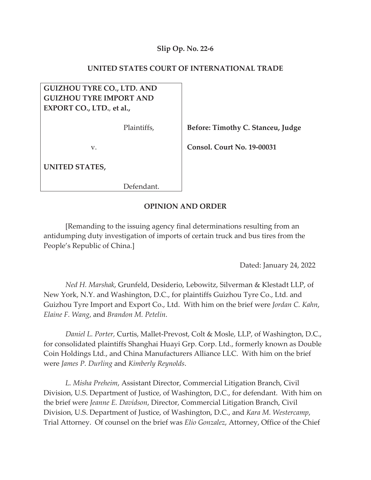## **Slip Op. No. 22-6**

### **UNITED STATES COURT OF INTERNATIONAL TRADE**

# **GUIZHOU TYRE CO., LTD. AND GUIZHOU TYRE IMPORT AND EXPORT CO., LTD.**, **et al.,**

Plaintiffs,

v.

**UNITED STATES,**

Defendant.

 **Before: Timothy C. Stanceu, Judge** 

 **Consol. Court No. 19-00031** 

### **OPINION AND ORDER**

[Remanding to the issuing agency final determinations resulting from an antidumping duty investigation of imports of certain truck and bus tires from the People's Republic of China.]

Dated: January 24, 2022

*Ned H. Marshak*, Grunfeld, Desiderio, Lebowitz, Silverman & Klestadt LLP, of New York, N.Y. and Washington, D.C., for plaintiffs Guizhou Tyre Co., Ltd. and Guizhou Tyre Import and Export Co., Ltd. With him on the brief were *Jordan C. Kahn*, *Elaine F. Wang*, and *Brandon M. Petelin*.

*Daniel L. Porter,* Curtis, Mallet-Prevost, Colt & Mosle, LLP, of Washington, D.C., for consolidated plaintiffs Shanghai Huayi Grp. Corp. Ltd., formerly known as Double Coin Holdings Ltd., and China Manufacturers Alliance LLC. With him on the brief were *James P. Durling* and *Kimberly Reynolds*.

*L. Misha Preheim*, Assistant Director, Commercial Litigation Branch, Civil Division, U.S. Department of Justice, of Washington, D.C., for defendant. With him on the brief were *Jeanne E. Davidson*, Director, Commercial Litigation Branch, Civil Division, U.S. Department of Justice, of Washington, D.C., and *Kara M. Westercamp*, Trial Attorney. Of counsel on the brief was *Elio Gonzalez*, Attorney, Office of the Chief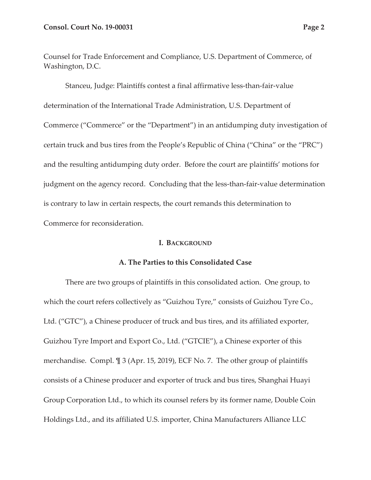Counsel for Trade Enforcement and Compliance, U.S. Department of Commerce, of Washington, D.C.

Stanceu, Judge: Plaintiffs contest a final affirmative less-than-fair-value determination of the International Trade Administration, U.S. Department of Commerce ("Commerce" or the "Department") in an antidumping duty investigation of certain truck and bus tires from the People's Republic of China ("China" or the "PRC") and the resulting antidumping duty order. Before the court are plaintiffs' motions for judgment on the agency record. Concluding that the less-than-fair-value determination is contrary to law in certain respects, the court remands this determination to Commerce for reconsideration.

## **I. BACKGROUND**

## **A. The Parties to this Consolidated Case**

There are two groups of plaintiffs in this consolidated action. One group, to which the court refers collectively as "Guizhou Tyre," consists of Guizhou Tyre Co., Ltd. ("GTC"), a Chinese producer of truck and bus tires, and its affiliated exporter, Guizhou Tyre Import and Export Co., Ltd. ("GTCIE"), a Chinese exporter of this merchandise. Compl. ¶ 3 (Apr. 15, 2019), ECF No. 7. The other group of plaintiffs consists of a Chinese producer and exporter of truck and bus tires, Shanghai Huayi Group Corporation Ltd., to which its counsel refers by its former name, Double Coin Holdings Ltd., and its affiliated U.S. importer, China Manufacturers Alliance LLC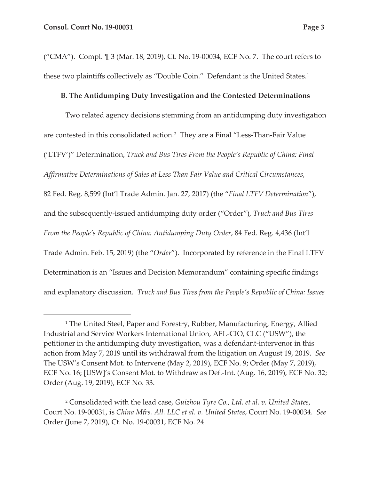("CMA"). Compl. ¶ 3 (Mar. 18, 2019), Ct. No. 19-00034, ECF No. 7. The court refers to these two plaintiffs collectively as "Double Coin." Defendant is the United States.<sup>1</sup>

## **B. The Antidumping Duty Investigation and the Contested Determinations**

Two related agency decisions stemming from an antidumping duty investigation are contested in this consolidated action.2 They are a Final "Less-Than-Fair Value ('LTFV')" Determination, *Truck and Bus Tires From the People's Republic of China: Final Affirmative Determinations of Sales at Less Than Fair Value and Critical Circumstances*, 82 Fed. Reg. 8,599 (Int'l Trade Admin. Jan. 27, 2017) (the "*Final LTFV Determination*"), and the subsequently-issued antidumping duty order ("Order"), *Truck and Bus Tires From the People's Republic of China: Antidumping Duty Order*, 84 Fed. Reg. 4,436 (Int'l Trade Admin. Feb. 15, 2019) (the "*Order*"). Incorporated by reference in the Final LTFV Determination is an "Issues and Decision Memorandum" containing specific findings and explanatory discussion. *Truck and Bus Tires from the People's Republic of China: Issues* 

<sup>&</sup>lt;sup>1</sup> The United Steel, Paper and Forestry, Rubber, Manufacturing, Energy, Allied Industrial and Service Workers International Union, AFL-CIO, CLC ("USW"), the petitioner in the antidumping duty investigation, was a defendant-intervenor in this action from May 7, 2019 until its withdrawal from the litigation on August 19, 2019. *See* The USW's Consent Mot. to Intervene (May 2, 2019), ECF No. 9; Order (May 7, 2019), ECF No. 16; [USW]'s Consent Mot. to Withdraw as Def.-Int. (Aug. 16, 2019), ECF No. 32; Order (Aug. 19, 2019), ECF No. 33.

<sup>2</sup> Consolidated with the lead case, *Guizhou Tyre Co., Ltd. et al. v. United States*, Court No. 19-00031, is *China Mfrs. All. LLC et al. v. United States*, Court No. 19-00034. *See*  Order (June 7, 2019), Ct. No. 19-00031, ECF No. 24.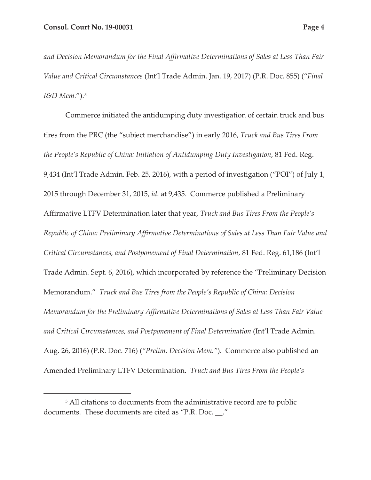*and Decision Memorandum for the Final Affirmative Determinations of Sales at Less Than Fair Value and Critical Circumstances* (Int'l Trade Admin. Jan. 19, 2017) (P.R. Doc. 855) ("*Final I&D Mem.*").3

Commerce initiated the antidumping duty investigation of certain truck and bus tires from the PRC (the "subject merchandise") in early 2016, *Truck and Bus Tires From the People's Republic of China: Initiation of Antidumping Duty Investigation*, 81 Fed. Reg. 9,434 (Int'l Trade Admin. Feb. 25, 2016), with a period of investigation ("POI") of July 1, 2015 through December 31, 2015, *id*. at 9,435. Commerce published a Preliminary Affirmative LTFV Determination later that year, *Truck and Bus Tires From the People's Republic of China: Preliminary Affirmative Determinations of Sales at Less Than Fair Value and Critical Circumstances, and Postponement of Final Determination*, 81 Fed. Reg. 61,186 (Int'l Trade Admin. Sept. 6, 2016), which incorporated by reference the "Preliminary Decision Memorandum." *Truck and Bus Tires from the People's Republic of China: Decision Memorandum for the Preliminary Affirmative Determinations of Sales at Less Than Fair Value and Critical Circumstances, and Postponement of Final Determination* (Int'l Trade Admin. Aug. 26, 2016) (P.R. Doc. 716) (*"Prelim. Decision Mem."*). Commerce also published an Amended Preliminary LTFV Determination. *Truck and Bus Tires From the People's* 

<sup>&</sup>lt;sup>3</sup> All citations to documents from the administrative record are to public documents. These documents are cited as "P.R. Doc. \_\_."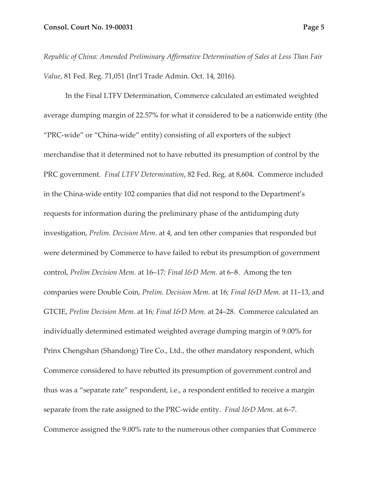*Republic of China: Amended Preliminary Affirmative Determination of Sales at Less Than Fair Value*, 81 Fed. Reg. 71,051 (Int'l Trade Admin. Oct. 14, 2016).

In the Final LTFV Determination, Commerce calculated an estimated weighted average dumping margin of 22.57% for what it considered to be a nationwide entity (the "PRC-wide" or "China-wide" entity) consisting of all exporters of the subject merchandise that it determined not to have rebutted its presumption of control by the PRC government. *Final LTFV Determination*, 82 Fed. Reg. at 8,604. Commerce included in the China-wide entity 102 companies that did not respond to the Department's requests for information during the preliminary phase of the antidumping duty investigation, *Prelim. Decision Mem.* at 4, and ten other companies that responded but were determined by Commerce to have failed to rebut its presumption of government control, *Prelim Decision Mem.* at 16–17*; Final I&D Mem.* at 6–8. Among the ten companies were Double Coin, *Prelim. Decision Mem.* at 16*; Final I&D Mem.* at 11–13, and GTCIE, *Prelim Decision Mem.* at 16*; Final I&D Mem.* at 24–28. Commerce calculated an individually determined estimated weighted average dumping margin of 9.00% for Prinx Chengshan (Shandong) Tire Co., Ltd., the other mandatory respondent, which Commerce considered to have rebutted its presumption of government control and thus was a "separate rate" respondent, i.e., a respondent entitled to receive a margin separate from the rate assigned to the PRC-wide entity. *Final I&D Mem.* at 6–7. Commerce assigned the 9.00% rate to the numerous other companies that Commerce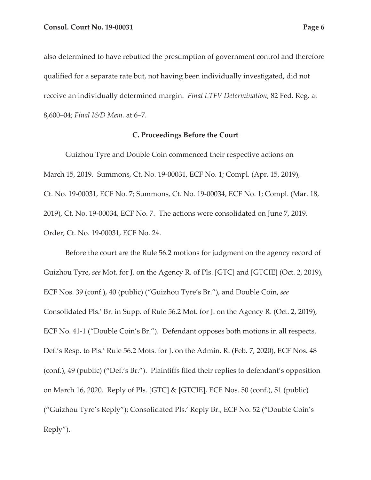also determined to have rebutted the presumption of government control and therefore qualified for a separate rate but, not having been individually investigated, did not receive an individually determined margin. *Final LTFV Determination*, 82 Fed. Reg. at 8,600–04; *Final I&D Mem.* at 6–7.

#### **C. Proceedings Before the Court**

Guizhou Tyre and Double Coin commenced their respective actions on March 15, 2019. Summons, Ct. No. 19-00031, ECF No. 1; Compl. (Apr. 15, 2019), Ct. No. 19-00031, ECF No. 7; Summons, Ct. No. 19-00034, ECF No. 1; Compl. (Mar. 18, 2019), Ct. No. 19-00034, ECF No. 7. The actions were consolidated on June 7, 2019. Order, Ct. No. 19-00031, ECF No. 24.

Before the court are the Rule 56.2 motions for judgment on the agency record of Guizhou Tyre, *see* Mot. for J. on the Agency R. of Pls. [GTC] and [GTCIE] (Oct. 2, 2019), ECF Nos. 39 (conf.), 40 (public) ("Guizhou Tyre's Br."), and Double Coin, *see* Consolidated Pls.' Br. in Supp. of Rule 56.2 Mot. for J. on the Agency R. (Oct. 2, 2019), ECF No. 41-1 ("Double Coin's Br."). Defendant opposes both motions in all respects. Def.'s Resp. to Pls.' Rule 56.2 Mots. for J. on the Admin. R. (Feb. 7, 2020), ECF Nos. 48 (conf.), 49 (public) ("Def.'s Br."). Plaintiffs filed their replies to defendant's opposition on March 16, 2020. Reply of Pls. [GTC] & [GTCIE], ECF Nos. 50 (conf.), 51 (public) ("Guizhou Tyre's Reply"); Consolidated Pls.' Reply Br., ECF No. 52 ("Double Coin's Reply").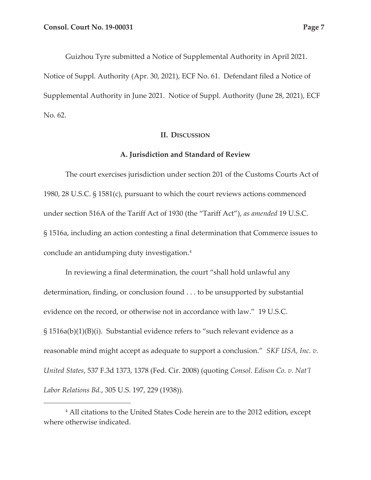Guizhou Tyre submitted a Notice of Supplemental Authority in April 2021. Notice of Suppl. Authority (Apr. 30, 2021), ECF No. 61. Defendant filed a Notice of Supplemental Authority in June 2021. Notice of Suppl. Authority (June 28, 2021), ECF No. 62.

#### **II. DISCUSSION**

### **A. Jurisdiction and Standard of Review**

The court exercises jurisdiction under section 201 of the Customs Courts Act of 1980, 28 U.S.C. § 1581(c), pursuant to which the court reviews actions commenced under section 516A of the Tariff Act of 1930 (the "Tariff Act"), *as amended* 19 U.S.C. § 1516a, including an action contesting a final determination that Commerce issues to conclude an antidumping duty investigation.4

In reviewing a final determination, the court "shall hold unlawful any determination, finding, or conclusion found . . . to be unsupported by substantial evidence on the record, or otherwise not in accordance with law." 19 U.S.C. § 1516a(b)(1)(B)(i). Substantial evidence refers to "such relevant evidence as a reasonable mind might accept as adequate to support a conclusion." *SKF USA, Inc. v. United States*, 537 F.3d 1373, 1378 (Fed. Cir. 2008) (quoting *Consol. Edison Co. v. Nat'l Labor Relations Bd.*, 305 U.S. 197, 229 (1938)).

<sup>4</sup> All citations to the United States Code herein are to the 2012 edition, except where otherwise indicated.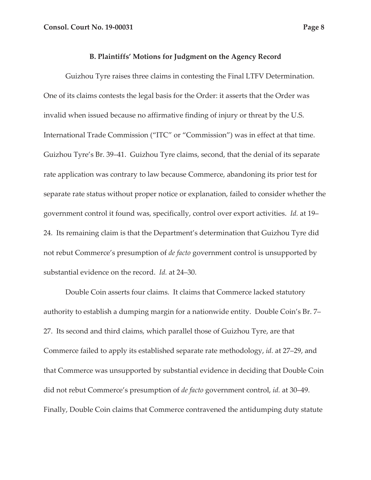#### **B. Plaintiffs' Motions for Judgment on the Agency Record**

Guizhou Tyre raises three claims in contesting the Final LTFV Determination. One of its claims contests the legal basis for the Order: it asserts that the Order was invalid when issued because no affirmative finding of injury or threat by the U.S. International Trade Commission ("ITC" or "Commission") was in effect at that time. Guizhou Tyre's Br. 39–41. Guizhou Tyre claims, second, that the denial of its separate rate application was contrary to law because Commerce, abandoning its prior test for separate rate status without proper notice or explanation, failed to consider whether the government control it found was, specifically, control over export activities. *Id.* at 19– 24. Its remaining claim is that the Department's determination that Guizhou Tyre did not rebut Commerce's presumption of *de facto* government control is unsupported by substantial evidence on the record. *Id.* at 24–30.

Double Coin asserts four claims. It claims that Commerce lacked statutory authority to establish a dumping margin for a nationwide entity. Double Coin's Br. 7– 27. Its second and third claims, which parallel those of Guizhou Tyre, are that Commerce failed to apply its established separate rate methodology, *id.* at 27–29, and that Commerce was unsupported by substantial evidence in deciding that Double Coin did not rebut Commerce's presumption of *de facto* government control, *id.* at 30–49. Finally, Double Coin claims that Commerce contravened the antidumping duty statute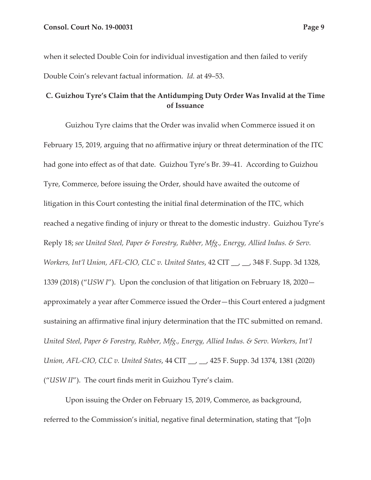when it selected Double Coin for individual investigation and then failed to verify Double Coin's relevant factual information. *Id.* at 49–53.

## **C. Guizhou Tyre's Claim that the Antidumping Duty Order Was Invalid at the Time of Issuance**

Guizhou Tyre claims that the Order was invalid when Commerce issued it on February 15, 2019, arguing that no affirmative injury or threat determination of the ITC had gone into effect as of that date. Guizhou Tyre's Br. 39–41. According to Guizhou Tyre, Commerce, before issuing the Order, should have awaited the outcome of litigation in this Court contesting the initial final determination of the ITC, which reached a negative finding of injury or threat to the domestic industry. Guizhou Tyre's Reply 18; *see United Steel, Paper & Forestry, Rubber, Mfg., Energy, Allied Indus. & Serv. Workers, Int'l Union, AFL-CIO, CLC v. United States*, 42 CIT \_\_, \_\_, 348 F. Supp. 3d 1328, 1339 (2018) ("*USW I*"). Upon the conclusion of that litigation on February 18, 2020 approximately a year after Commerce issued the Order—this Court entered a judgment sustaining an affirmative final injury determination that the ITC submitted on remand. *United Steel, Paper & Forestry, Rubber, Mfg., Energy, Allied Indus. & Serv. Workers, Int'l Union, AFL-CIO, CLC v. United States*, 44 CIT \_\_, \_\_, 425 F. Supp. 3d 1374, 1381 (2020) ("*USW II*"). The court finds merit in Guizhou Tyre's claim.

Upon issuing the Order on February 15, 2019, Commerce, as background, referred to the Commission's initial, negative final determination, stating that "[o]n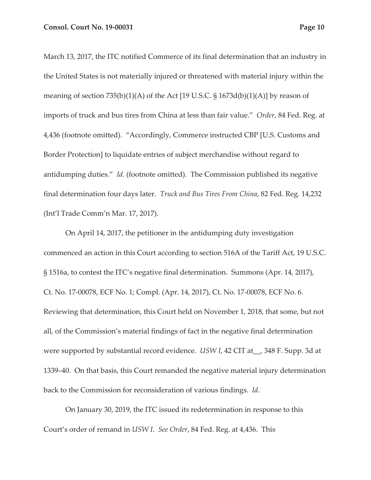March 13, 2017, the ITC notified Commerce of its final determination that an industry in the United States is not materially injured or threatened with material injury within the meaning of section  $735(b)(1)(A)$  of the Act [19 U.S.C. § 1673d(b)(1)(A)] by reason of imports of truck and bus tires from China at less than fair value." *Order*, 84 Fed. Reg. at 4,436 (footnote omitted). "Accordingly, Commerce instructed CBP [U.S. Customs and Border Protection] to liquidate entries of subject merchandise without regard to antidumping duties." *Id*. (footnote omitted). The Commission published its negative final determination four days later. *Truck and Bus Tires From China*, 82 Fed. Reg. 14,232 (Int'l Trade Comm'n Mar. 17, 2017).

On April 14, 2017, the petitioner in the antidumping duty investigation commenced an action in this Court according to section 516A of the Tariff Act, 19 U.S.C. § 1516a, to contest the ITC's negative final determination. Summons (Apr. 14, 2017), Ct. No. 17-00078, ECF No. 1; Compl. (Apr. 14, 2017), Ct. No. 17-00078, ECF No. 6. Reviewing that determination, this Court held on November 1, 2018, that some, but not all, of the Commission's material findings of fact in the negative final determination were supported by substantial record evidence. *USW I*, 42 CIT at\_\_, 348 F. Supp. 3d at 1339–40. On that basis, this Court remanded the negative material injury determination back to the Commission for reconsideration of various findings. *Id*.

On January 30, 2019, the ITC issued its redetermination in response to this Court's order of remand in *USW I*. *See Order*, 84 Fed. Reg. at 4,436. This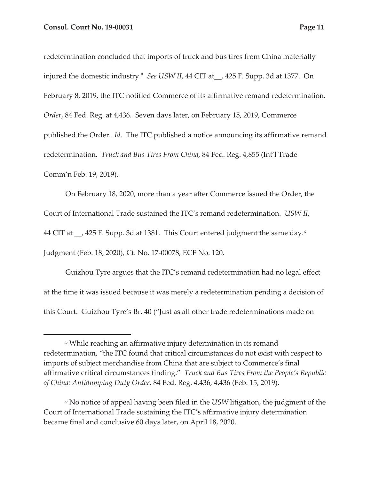redetermination concluded that imports of truck and bus tires from China materially injured the domestic industry.5 *See USW II*, 44 CIT at\_\_, 425 F. Supp. 3d at 1377. On February 8, 2019, the ITC notified Commerce of its affirmative remand redetermination. *Order*, 84 Fed. Reg. at 4,436. Seven days later, on February 15, 2019, Commerce published the Order. *Id*. The ITC published a notice announcing its affirmative remand redetermination. *Truck and Bus Tires From China*, 84 Fed. Reg. 4,855 (Int'l Trade Comm'n Feb. 19, 2019).

On February 18, 2020, more than a year after Commerce issued the Order, the Court of International Trade sustained the ITC's remand redetermination. *USW II*, 44 CIT at \, 425 F. Supp. 3d at 1381. This Court entered judgment the same day.<sup>6</sup> Judgment (Feb. 18, 2020), Ct. No. 17-00078, ECF No. 120.

Guizhou Tyre argues that the ITC's remand redetermination had no legal effect at the time it was issued because it was merely a redetermination pending a decision of this Court. Guizhou Tyre's Br. 40 ("Just as all other trade redeterminations made on

<sup>&</sup>lt;sup>5</sup> While reaching an affirmative injury determination in its remand redetermination, "the ITC found that critical circumstances do not exist with respect to imports of subject merchandise from China that are subject to Commerce's final affirmative critical circumstances finding." *Truck and Bus Tires From the People's Republic of China: Antidumping Duty Order*, 84 Fed. Reg. 4,436, 4,436 (Feb. 15, 2019).

<sup>6</sup> No notice of appeal having been filed in the *USW* litigation, the judgment of the Court of International Trade sustaining the ITC's affirmative injury determination became final and conclusive 60 days later, on April 18, 2020.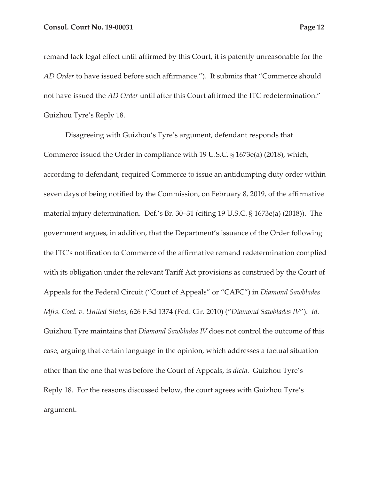remand lack legal effect until affirmed by this Court, it is patently unreasonable for the *AD Order* to have issued before such affirmance."). It submits that "Commerce should not have issued the *AD Order* until after this Court affirmed the ITC redetermination." Guizhou Tyre's Reply 18.

Disagreeing with Guizhou's Tyre's argument, defendant responds that Commerce issued the Order in compliance with 19 U.S.C. § 1673e(a) (2018), which, according to defendant, required Commerce to issue an antidumping duty order within seven days of being notified by the Commission, on February 8, 2019, of the affirmative material injury determination. Def.'s Br. 30–31 (citing 19 U.S.C. § 1673e(a) (2018)). The government argues, in addition, that the Department's issuance of the Order following the ITC's notification to Commerce of the affirmative remand redetermination complied with its obligation under the relevant Tariff Act provisions as construed by the Court of Appeals for the Federal Circuit ("Court of Appeals" or "CAFC") in *Diamond Sawblades Mfrs. Coal. v. United States*, 626 F.3d 1374 (Fed. Cir. 2010) ("*Diamond Sawblades IV*"). *Id.* Guizhou Tyre maintains that *Diamond Sawblades IV* does not control the outcome of this case, arguing that certain language in the opinion, which addresses a factual situation other than the one that was before the Court of Appeals, is *dicta*. Guizhou Tyre's Reply 18. For the reasons discussed below, the court agrees with Guizhou Tyre's argument.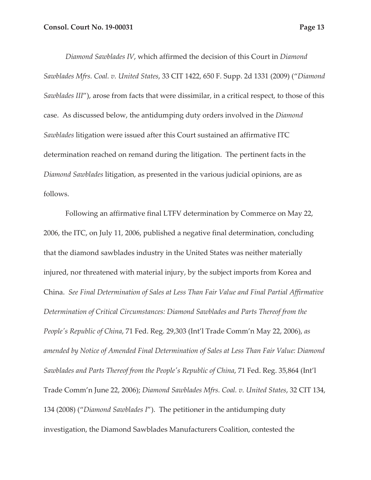*Diamond Sawblades IV*, which affirmed the decision of this Court in *Diamond Sawblades Mfrs. Coal. v. United States*, 33 CIT 1422, 650 F. Supp. 2d 1331 (2009) ("*Diamond Sawblades III*"), arose from facts that were dissimilar, in a critical respect, to those of this case. As discussed below, the antidumping duty orders involved in the *Diamond Sawblades* litigation were issued after this Court sustained an affirmative ITC determination reached on remand during the litigation. The pertinent facts in the *Diamond Sawblades* litigation, as presented in the various judicial opinions, are as follows.

Following an affirmative final LTFV determination by Commerce on May 22, 2006, the ITC, on July 11, 2006, published a negative final determination, concluding that the diamond sawblades industry in the United States was neither materially injured, nor threatened with material injury, by the subject imports from Korea and China. *See Final Determination of Sales at Less Than Fair Value and Final Partial Affirmative Determination of Critical Circumstances: Diamond Sawblades and Parts Thereof from the People's Republic of China*, 71 Fed. Reg. 29,303 (Int'l Trade Comm'n May 22, 2006), *as amended by Notice of Amended Final Determination of Sales at Less Than Fair Value: Diamond Sawblades and Parts Thereof from the People's Republic of China*, 71 Fed. Reg. 35,864 (Int'l Trade Comm'n June 22, 2006); *Diamond Sawblades Mfrs. Coal. v. United States*, 32 CIT 134, 134 (2008) ("*Diamond Sawblades I*"). The petitioner in the antidumping duty investigation, the Diamond Sawblades Manufacturers Coalition, contested the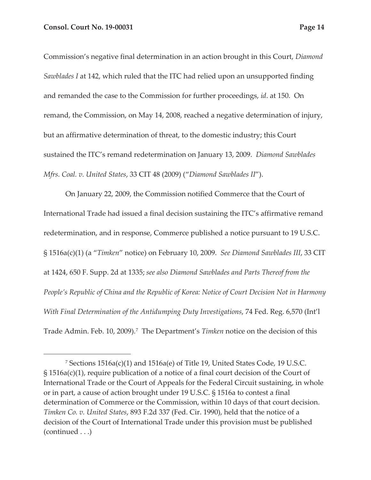Commission's negative final determination in an action brought in this Court, *Diamond Sawblades I* at 142, which ruled that the ITC had relied upon an unsupported finding and remanded the case to the Commission for further proceedings, *id*. at 150. On remand, the Commission, on May 14, 2008, reached a negative determination of injury, but an affirmative determination of threat, to the domestic industry; this Court sustained the ITC's remand redetermination on January 13, 2009. *Diamond Sawblades Mfrs. Coal. v. United States*, 33 CIT 48 (2009) ("*Diamond Sawblades II*").

On January 22, 2009, the Commission notified Commerce that the Court of International Trade had issued a final decision sustaining the ITC's affirmative remand redetermination, and in response, Commerce published a notice pursuant to 19 U.S.C. § 1516a(c)(1) (a "*Timken*" notice) on February 10, 2009. *See Diamond Sawblades III*, 33 CIT at 1424, 650 F. Supp. 2d at 1335; *see also Diamond Sawblades and Parts Thereof from the People's Republic of China and the Republic of Korea: Notice of Court Decision Not in Harmony With Final Determination of the Antidumping Duty Investigations*, 74 Fed. Reg. 6,570 (Int'l Trade Admin. Feb. 10, 2009).<sup>7</sup> The Department's *Timken* notice on the decision of this

<sup>7</sup> Sections 1516a(c)(1) and 1516a(e) of Title 19, United States Code, 19 U.S.C. § 1516a(c)(1), require publication of a notice of a final court decision of the Court of International Trade or the Court of Appeals for the Federal Circuit sustaining, in whole or in part, a cause of action brought under 19 U.S.C. § 1516a to contest a final determination of Commerce or the Commission, within 10 days of that court decision. *Timken Co. v. United States*, 893 F.2d 337 (Fed. Cir. 1990), held that the notice of a decision of the Court of International Trade under this provision must be published (continued . . .)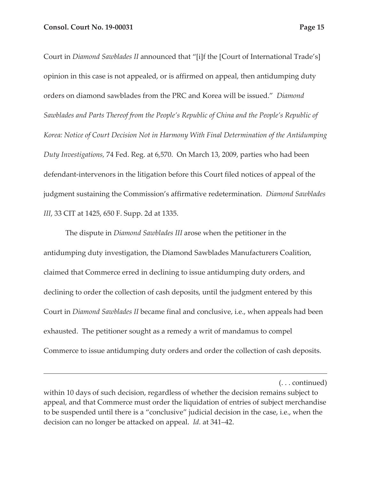Court in *Diamond Sawblades II* announced that "[i]f the [Court of International Trade's] opinion in this case is not appealed, or is affirmed on appeal, then antidumping duty orders on diamond sawblades from the PRC and Korea will be issued." *Diamond Sawblades and Parts Thereof from the People's Republic of China and the People's Republic of Korea: Notice of Court Decision Not in Harmony With Final Determination of the Antidumping Duty Investigations,* 74 Fed. Reg. at 6,570. On March 13, 2009, parties who had been defendant-intervenors in the litigation before this Court filed notices of appeal of the judgment sustaining the Commission's affirmative redetermination. *Diamond Sawblades III*, 33 CIT at 1425, 650 F. Supp. 2d at 1335.

The dispute in *Diamond Sawblades III* arose when the petitioner in the antidumping duty investigation, the Diamond Sawblades Manufacturers Coalition, claimed that Commerce erred in declining to issue antidumping duty orders, and declining to order the collection of cash deposits, until the judgment entered by this Court in *Diamond Sawblades II* became final and conclusive, i.e., when appeals had been exhausted. The petitioner sought as a remedy a writ of mandamus to compel Commerce to issue antidumping duty orders and order the collection of cash deposits.

(. . . continued)

within 10 days of such decision, regardless of whether the decision remains subject to appeal, and that Commerce must order the liquidation of entries of subject merchandise to be suspended until there is a "conclusive" judicial decision in the case, i.e., when the decision can no longer be attacked on appeal. *Id.* at 341–42.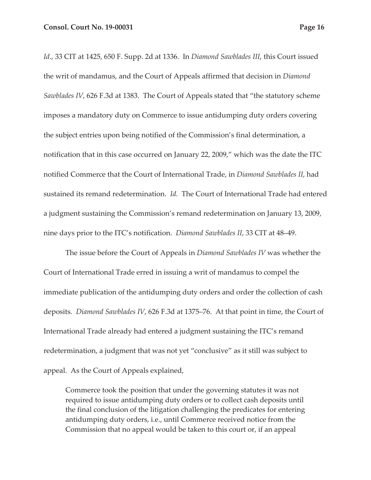*Id*., 33 CIT at 1425, 650 F. Supp. 2d at 1336. In *Diamond Sawblades III*, this Court issued the writ of mandamus, and the Court of Appeals affirmed that decision in *Diamond Sawblades IV*, 626 F.3d at 1383. The Court of Appeals stated that "the statutory scheme imposes a mandatory duty on Commerce to issue antidumping duty orders covering the subject entries upon being notified of the Commission's final determination, a notification that in this case occurred on January 22, 2009," which was the date the ITC notified Commerce that the Court of International Trade, in *Diamond Sawblades II*, had sustained its remand redetermination. *Id.* The Court of International Trade had entered a judgment sustaining the Commission's remand redetermination on January 13, 2009, nine days prior to the ITC's notification. *Diamond Sawblades II*, 33 CIT at 48–49.

The issue before the Court of Appeals in *Diamond Sawblades IV* was whether the Court of International Trade erred in issuing a writ of mandamus to compel the immediate publication of the antidumping duty orders and order the collection of cash deposits. *Diamond Sawblades IV*, 626 F.3d at 1375–76. At that point in time, the Court of International Trade already had entered a judgment sustaining the ITC's remand redetermination, a judgment that was not yet "conclusive" as it still was subject to appeal. As the Court of Appeals explained,

Commerce took the position that under the governing statutes it was not required to issue antidumping duty orders or to collect cash deposits until the final conclusion of the litigation challenging the predicates for entering antidumping duty orders, i.e., until Commerce received notice from the Commission that no appeal would be taken to this court or, if an appeal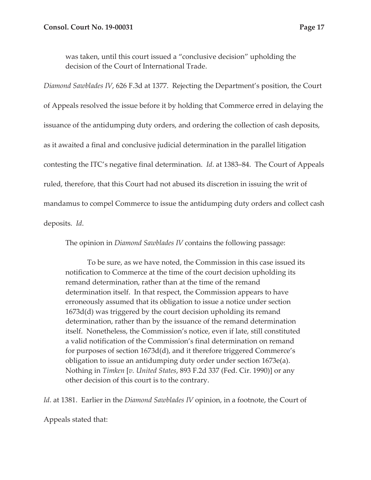was taken, until this court issued a "conclusive decision" upholding the decision of the Court of International Trade.

*Diamond Sawblades IV*, 626 F.3d at 1377. Rejecting the Department's position, the Court of Appeals resolved the issue before it by holding that Commerce erred in delaying the issuance of the antidumping duty orders, and ordering the collection of cash deposits, as it awaited a final and conclusive judicial determination in the parallel litigation contesting the ITC's negative final determination. *Id*. at 1383–84. The Court of Appeals ruled, therefore, that this Court had not abused its discretion in issuing the writ of mandamus to compel Commerce to issue the antidumping duty orders and collect cash deposits. *Id*.

The opinion in *Diamond Sawblades IV* contains the following passage:

To be sure, as we have noted, the Commission in this case issued its notification to Commerce at the time of the court decision upholding its remand determination, rather than at the time of the remand determination itself. In that respect, the Commission appears to have erroneously assumed that its obligation to issue a notice under section 1673d(d) was triggered by the court decision upholding its remand determination, rather than by the issuance of the remand determination itself. Nonetheless, the Commission's notice, even if late, still constituted a valid notification of the Commission's final determination on remand for purposes of section 1673d(d), and it therefore triggered Commerce's obligation to issue an antidumping duty order under section 1673e(a). Nothing in *Timken* [*v. United States*, 893 F.2d 337 (Fed. Cir. 1990)] or any other decision of this court is to the contrary.

*Id*. at 1381. Earlier in the *Diamond Sawblades IV* opinion, in a footnote, the Court of

Appeals stated that: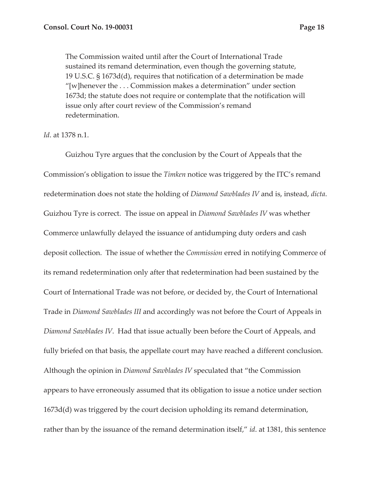The Commission waited until after the Court of International Trade sustained its remand determination, even though the governing statute, 19 U.S.C. § 1673d(d), requires that notification of a determination be made "[w]henever the . . . Commission makes a determination" under section 1673d; the statute does not require or contemplate that the notification will issue only after court review of the Commission's remand redetermination.

#### *Id*. at 1378 n.1.

Guizhou Tyre argues that the conclusion by the Court of Appeals that the Commission's obligation to issue the *Timken* notice was triggered by the ITC's remand redetermination does not state the holding of *Diamond Sawblades IV* and is, instead, *dicta*. Guizhou Tyre is correct. The issue on appeal in *Diamond Sawblades IV* was whether Commerce unlawfully delayed the issuance of antidumping duty orders and cash deposit collection. The issue of whether the *Commission* erred in notifying Commerce of its remand redetermination only after that redetermination had been sustained by the Court of International Trade was not before, or decided by, the Court of International Trade in *Diamond Sawblades III* and accordingly was not before the Court of Appeals in *Diamond Sawblades IV*. Had that issue actually been before the Court of Appeals, and fully briefed on that basis, the appellate court may have reached a different conclusion. Although the opinion in *Diamond Sawblades IV* speculated that "the Commission appears to have erroneously assumed that its obligation to issue a notice under section 1673d(d) was triggered by the court decision upholding its remand determination, rather than by the issuance of the remand determination itself," *id*. at 1381, this sentence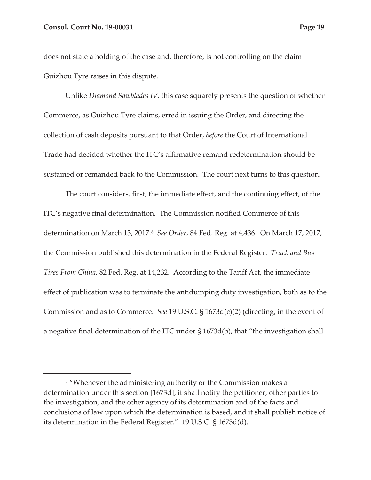does not state a holding of the case and, therefore, is not controlling on the claim Guizhou Tyre raises in this dispute.

Unlike *Diamond Sawblades IV*, this case squarely presents the question of whether Commerce, as Guizhou Tyre claims, erred in issuing the Order, and directing the collection of cash deposits pursuant to that Order, *before* the Court of International Trade had decided whether the ITC's affirmative remand redetermination should be sustained or remanded back to the Commission. The court next turns to this question.

The court considers, first, the immediate effect, and the continuing effect, of the ITC's negative final determination. The Commission notified Commerce of this determination on March 13, 2017.<sup>8</sup> *See Order*, 84 Fed. Reg. at 4,436. On March 17, 2017, the Commission published this determination in the Federal Register. *Truck and Bus Tires From China*, 82 Fed. Reg. at 14,232. According to the Tariff Act, the immediate effect of publication was to terminate the antidumping duty investigation, both as to the Commission and as to Commerce. *See* 19 U.S.C. § 1673d(c)(2) (directing, in the event of a negative final determination of the ITC under § 1673d(b), that "the investigation shall

<sup>8</sup> "Whenever the administering authority or the Commission makes a determination under this section [1673d], it shall notify the petitioner, other parties to the investigation, and the other agency of its determination and of the facts and conclusions of law upon which the determination is based, and it shall publish notice of its determination in the Federal Register." 19 U.S.C. § 1673d(d).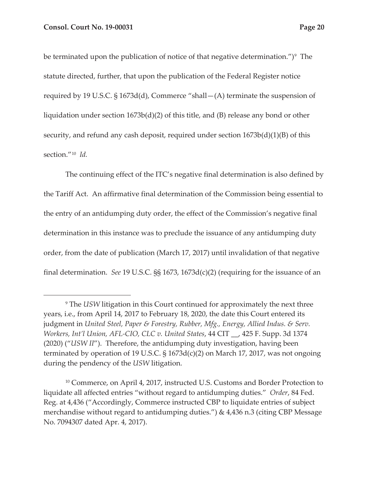be terminated upon the publication of notice of that negative determination.")<sup>9</sup> The statute directed, further, that upon the publication of the Federal Register notice required by 19 U.S.C. § 1673d(d), Commerce "shall—(A) terminate the suspension of liquidation under section 1673b(d)(2) of this title, and (B) release any bond or other security, and refund any cash deposit, required under section  $1673b(d)(1)(B)$  of this section."10 *Id.*

The continuing effect of the ITC's negative final determination is also defined by the Tariff Act. An affirmative final determination of the Commission being essential to the entry of an antidumping duty order, the effect of the Commission's negative final determination in this instance was to preclude the issuance of any antidumping duty order, from the date of publication (March 17, 2017) until invalidation of that negative final determination. *See* 19 U.S.C. §§ 1673, 1673d(c)(2) (requiring for the issuance of an

<sup>9</sup> The *USW* litigation in this Court continued for approximately the next three years, i.e., from April 14, 2017 to February 18, 2020, the date this Court entered its judgment in *United Steel, Paper & Forestry, Rubber, Mfg., Energy, Allied Indus. & Serv. Workers, Int'l Union, AFL-CIO, CLC v. United States*, 44 CIT \_\_, 425 F. Supp. 3d 1374 (2020) ("*USW II*"). Therefore, the antidumping duty investigation, having been terminated by operation of 19 U.S.C. § 1673d(c)(2) on March 17, 2017, was not ongoing during the pendency of the *USW* litigation.

<sup>&</sup>lt;sup>10</sup> Commerce, on April 4, 2017, instructed U.S. Customs and Border Protection to liquidate all affected entries "without regard to antidumping duties." *Order*, 84 Fed. Reg. at 4,436 ("Accordingly, Commerce instructed CBP to liquidate entries of subject merchandise without regard to antidumping duties.") & 4,436 n.3 (citing CBP Message No. 7094307 dated Apr. 4, 2017).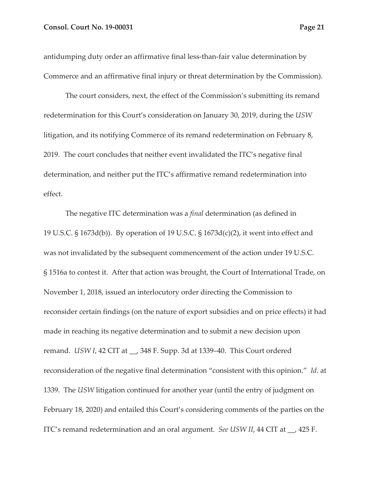antidumping duty order an affirmative final less-than-fair value determination by Commerce and an affirmative final injury or threat determination by the Commission).

The court considers, next, the effect of the Commission's submitting its remand redetermination for this Court's consideration on January 30, 2019, during the *USW* litigation, and its notifying Commerce of its remand redetermination on February 8, 2019. The court concludes that neither event invalidated the ITC's negative final determination, and neither put the ITC's affirmative remand redetermination into effect.

The negative ITC determination was a *final* determination (as defined in 19 U.S.C. § 1673d(b)). By operation of 19 U.S.C. § 1673d(c)(2), it went into effect and was not invalidated by the subsequent commencement of the action under 19 U.S.C. § 1516a to contest it. After that action was brought, the Court of International Trade, on November 1, 2018, issued an interlocutory order directing the Commission to reconsider certain findings (on the nature of export subsidies and on price effects) it had made in reaching its negative determination and to submit a new decision upon remand. *USW I*, 42 CIT at \_\_, 348 F. Supp. 3d at 1339–40. This Court ordered reconsideration of the negative final determination "consistent with this opinion." *Id*. at 1339. The *USW* litigation continued for another year (until the entry of judgment on February 18, 2020) and entailed this Court's considering comments of the parties on the ITC's remand redetermination and an oral argument. *See USW II*, 44 CIT at \_\_, 425 F.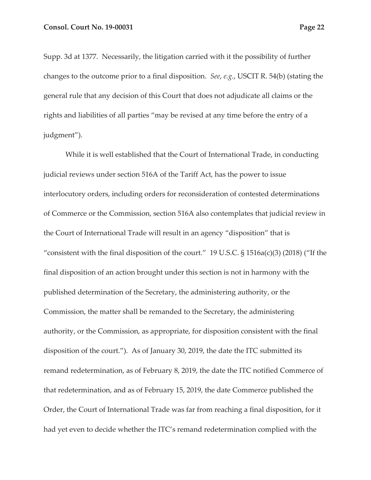Supp. 3d at 1377. Necessarily, the litigation carried with it the possibility of further changes to the outcome prior to a final disposition. *See*, *e.g.*, USCIT R. 54(b) (stating the general rule that any decision of this Court that does not adjudicate all claims or the rights and liabilities of all parties "may be revised at any time before the entry of a

judgment").

While it is well established that the Court of International Trade, in conducting judicial reviews under section 516A of the Tariff Act, has the power to issue interlocutory orders, including orders for reconsideration of contested determinations of Commerce or the Commission, section 516A also contemplates that judicial review in the Court of International Trade will result in an agency "disposition" that is "consistent with the final disposition of the court." 19 U.S.C.  $\S$  1516a(c)(3) (2018) ("If the final disposition of an action brought under this section is not in harmony with the published determination of the Secretary, the administering authority, or the Commission, the matter shall be remanded to the Secretary, the administering authority, or the Commission, as appropriate, for disposition consistent with the final disposition of the court."). As of January 30, 2019, the date the ITC submitted its remand redetermination, as of February 8, 2019, the date the ITC notified Commerce of that redetermination, and as of February 15, 2019, the date Commerce published the Order, the Court of International Trade was far from reaching a final disposition, for it had yet even to decide whether the ITC's remand redetermination complied with the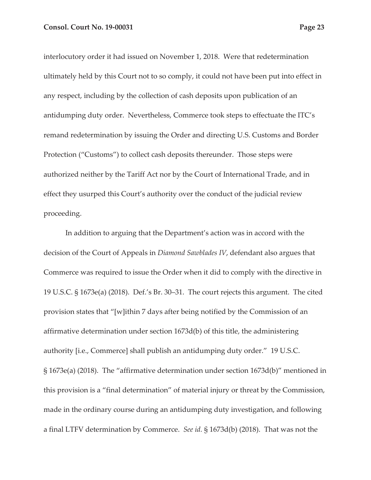interlocutory order it had issued on November 1, 2018. Were that redetermination ultimately held by this Court not to so comply, it could not have been put into effect in any respect, including by the collection of cash deposits upon publication of an antidumping duty order. Nevertheless, Commerce took steps to effectuate the ITC's remand redetermination by issuing the Order and directing U.S. Customs and Border Protection ("Customs") to collect cash deposits thereunder. Those steps were authorized neither by the Tariff Act nor by the Court of International Trade, and in effect they usurped this Court's authority over the conduct of the judicial review proceeding.

In addition to arguing that the Department's action was in accord with the decision of the Court of Appeals in *Diamond Sawblades IV*, defendant also argues that Commerce was required to issue the Order when it did to comply with the directive in 19 U.S.C. § 1673e(a) (2018). Def.'s Br. 30–31. The court rejects this argument. The cited provision states that "[w]ithin 7 days after being notified by the Commission of an affirmative determination under section 1673d(b) of this title, the administering authority [i.e., Commerce] shall publish an antidumping duty order." 19 U.S.C. § 1673e(a) (2018). The "affirmative determination under section 1673d(b)" mentioned in this provision is a "final determination" of material injury or threat by the Commission, made in the ordinary course during an antidumping duty investigation, and following a final LTFV determination by Commerce. *See id.* § 1673d(b) (2018). That was not the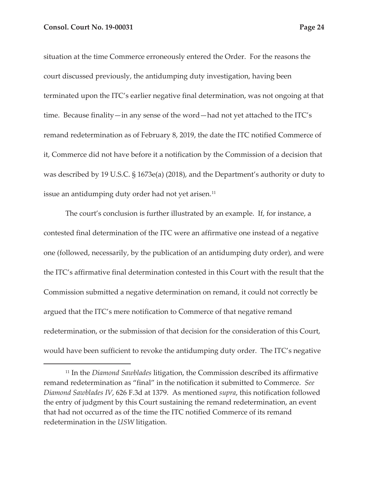situation at the time Commerce erroneously entered the Order. For the reasons the court discussed previously, the antidumping duty investigation, having been terminated upon the ITC's earlier negative final determination, was not ongoing at that time. Because finality—in any sense of the word—had not yet attached to the ITC's remand redetermination as of February 8, 2019, the date the ITC notified Commerce of it, Commerce did not have before it a notification by the Commission of a decision that was described by 19 U.S.C. § 1673e(a) (2018), and the Department's authority or duty to issue an antidumping duty order had not yet arisen.<sup>11</sup>

The court's conclusion is further illustrated by an example. If, for instance, a contested final determination of the ITC were an affirmative one instead of a negative one (followed, necessarily, by the publication of an antidumping duty order), and were the ITC's affirmative final determination contested in this Court with the result that the Commission submitted a negative determination on remand, it could not correctly be argued that the ITC's mere notification to Commerce of that negative remand redetermination, or the submission of that decision for the consideration of this Court, would have been sufficient to revoke the antidumping duty order. The ITC's negative

<sup>11</sup> In the *Diamond Sawblades* litigation, the Commission described its affirmative remand redetermination as "final" in the notification it submitted to Commerce. *See Diamond Sawblades IV*, 626 F.3d at 1379. As mentioned *supra*, this notification followed the entry of judgment by this Court sustaining the remand redetermination, an event that had not occurred as of the time the ITC notified Commerce of its remand redetermination in the *USW* litigation.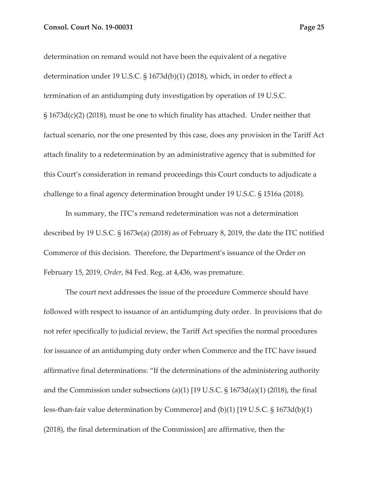determination on remand would not have been the equivalent of a negative determination under 19 U.S.C. § 1673d(b)(1) (2018), which, in order to effect a termination of an antidumping duty investigation by operation of 19 U.S.C. § 1673d(c)(2) (2018), must be one to which finality has attached. Under neither that factual scenario, nor the one presented by this case, does any provision in the Tariff Act attach finality to a redetermination by an administrative agency that is submitted for this Court's consideration in remand proceedings this Court conducts to adjudicate a challenge to a final agency determination brought under 19 U.S.C. § 1516a (2018).

In summary, the ITC's remand redetermination was not a determination described by 19 U.S.C. § 1673e(a) (2018) as of February 8, 2019, the date the ITC notified Commerce of this decision. Therefore, the Department's issuance of the Order on February 15, 2019, *Order*, 84 Fed. Reg. at 4,436, was premature.

The court next addresses the issue of the procedure Commerce should have followed with respect to issuance of an antidumping duty order. In provisions that do not refer specifically to judicial review, the Tariff Act specifies the normal procedures for issuance of an antidumping duty order when Commerce and the ITC have issued affirmative final determinations: "If the determinations of the administering authority and the Commission under subsections (a)(1) [19 U.S.C. § 1673d(a)(1) (2018), the final less-than-fair value determination by Commerce] and (b)(1) [19 U.S.C. § 1673d(b)(1) (2018), the final determination of the Commission] are affirmative, then the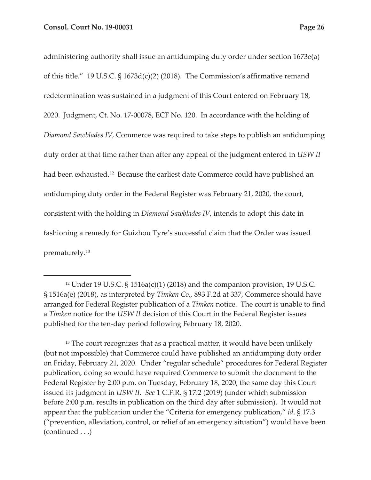administering authority shall issue an antidumping duty order under section 1673e(a) of this title." 19 U.S.C. § 1673d(c)(2) (2018). The Commission's affirmative remand redetermination was sustained in a judgment of this Court entered on February 18, 2020. Judgment, Ct. No. 17-00078, ECF No. 120. In accordance with the holding of *Diamond Sawblades IV*, Commerce was required to take steps to publish an antidumping duty order at that time rather than after any appeal of the judgment entered in *USW II*  had been exhausted.<sup>12</sup> Because the earliest date Commerce could have published an antidumping duty order in the Federal Register was February 21, 2020, the court, consistent with the holding in *Diamond Sawblades IV*, intends to adopt this date in fashioning a remedy for Guizhou Tyre's successful claim that the Order was issued prematurely.13

<sup>12</sup> Under 19 U.S.C. § 1516a(c)(1) (2018) and the companion provision, 19 U.S.C. § 1516a(e) (2018), as interpreted by *Timken Co.*, 893 F.2d at 337, Commerce should have arranged for Federal Register publication of a *Timken* notice. The court is unable to find a *Timken* notice for the *USW II* decision of this Court in the Federal Register issues published for the ten-day period following February 18, 2020.

<sup>&</sup>lt;sup>13</sup> The court recognizes that as a practical matter, it would have been unlikely (but not impossible) that Commerce could have published an antidumping duty order on Friday, February 21, 2020. Under "regular schedule" procedures for Federal Register publication, doing so would have required Commerce to submit the document to the Federal Register by 2:00 p.m. on Tuesday, February 18, 2020, the same day this Court issued its judgment in *USW II*. *See* 1 C.F.R. § 17.2 (2019) (under which submission before 2:00 p.m. results in publication on the third day after submission). It would not appear that the publication under the "Criteria for emergency publication," *id*. § 17.3 ("prevention, alleviation, control, or relief of an emergency situation") would have been (continued . . .)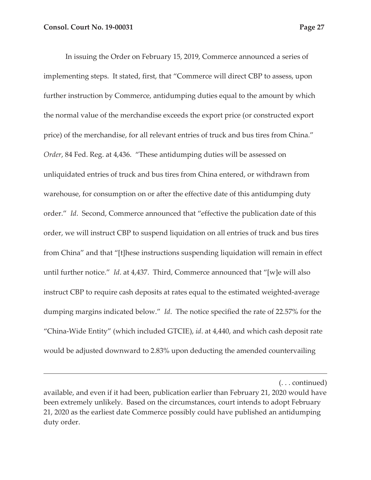In issuing the Order on February 15, 2019, Commerce announced a series of implementing steps. It stated, first, that "Commerce will direct CBP to assess, upon further instruction by Commerce, antidumping duties equal to the amount by which the normal value of the merchandise exceeds the export price (or constructed export price) of the merchandise, for all relevant entries of truck and bus tires from China." *Order*, 84 Fed. Reg. at 4,436. "These antidumping duties will be assessed on unliquidated entries of truck and bus tires from China entered, or withdrawn from warehouse, for consumption on or after the effective date of this antidumping duty order." *Id*. Second, Commerce announced that "effective the publication date of this order, we will instruct CBP to suspend liquidation on all entries of truck and bus tires from China" and that "[t]hese instructions suspending liquidation will remain in effect until further notice." *Id*. at 4,437. Third, Commerce announced that "[w]e will also instruct CBP to require cash deposits at rates equal to the estimated weighted-average dumping margins indicated below." *Id*. The notice specified the rate of 22.57% for the "China-Wide Entity" (which included GTCIE), *id*. at 4,440, and which cash deposit rate would be adjusted downward to 2.83% upon deducting the amended countervailing

(. . . continued)

available, and even if it had been, publication earlier than February 21, 2020 would have been extremely unlikely. Based on the circumstances, court intends to adopt February 21, 2020 as the earliest date Commerce possibly could have published an antidumping duty order.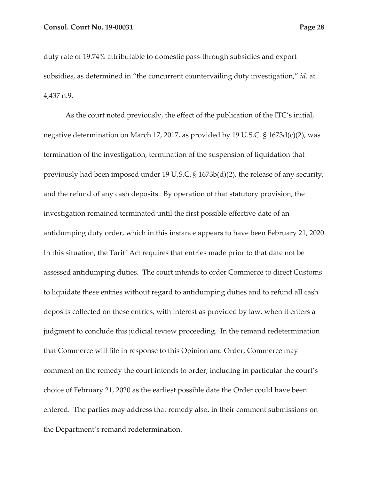duty rate of 19.74% attributable to domestic pass-through subsidies and export subsidies, as determined in "the concurrent countervailing duty investigation," *id*. at 4,437 n.9.

As the court noted previously, the effect of the publication of the ITC's initial, negative determination on March 17, 2017, as provided by 19 U.S.C. § 1673d(c)(2), was termination of the investigation, termination of the suspension of liquidation that previously had been imposed under 19 U.S.C. § 1673b(d)(2), the release of any security, and the refund of any cash deposits. By operation of that statutory provision, the investigation remained terminated until the first possible effective date of an antidumping duty order, which in this instance appears to have been February 21, 2020. In this situation, the Tariff Act requires that entries made prior to that date not be assessed antidumping duties. The court intends to order Commerce to direct Customs to liquidate these entries without regard to antidumping duties and to refund all cash deposits collected on these entries, with interest as provided by law, when it enters a judgment to conclude this judicial review proceeding. In the remand redetermination that Commerce will file in response to this Opinion and Order, Commerce may comment on the remedy the court intends to order, including in particular the court's choice of February 21, 2020 as the earliest possible date the Order could have been entered. The parties may address that remedy also, in their comment submissions on the Department's remand redetermination.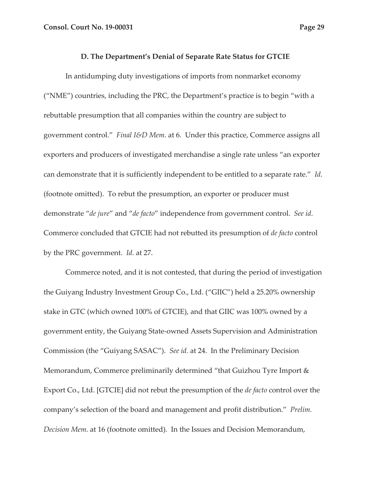#### **D. The Department's Denial of Separate Rate Status for GTCIE**

In antidumping duty investigations of imports from nonmarket economy ("NME") countries, including the PRC, the Department's practice is to begin "with a rebuttable presumption that all companies within the country are subject to government control." *Final I&D Mem.* at 6. Under this practice, Commerce assigns all exporters and producers of investigated merchandise a single rate unless "an exporter can demonstrate that it is sufficiently independent to be entitled to a separate rate." *Id.* (footnote omitted). To rebut the presumption, an exporter or producer must demonstrate "*de jure*" and "*de facto*" independence from government control. *See id*. Commerce concluded that GTCIE had not rebutted its presumption of *de facto* control by the PRC government. *Id.* at 27.

Commerce noted, and it is not contested, that during the period of investigation the Guiyang Industry Investment Group Co., Ltd. ("GIIC") held a 25.20% ownership stake in GTC (which owned 100% of GTCIE), and that GIIC was 100% owned by a government entity, the Guiyang State-owned Assets Supervision and Administration Commission (the "Guiyang SASAC"). *See id.* at 24. In the Preliminary Decision Memorandum, Commerce preliminarily determined "that Guizhou Tyre Import & Export Co., Ltd. [GTCIE] did not rebut the presumption of the *de facto* control over the company's selection of the board and management and profit distribution." *Prelim. Decision Mem.* at 16 (footnote omitted). In the Issues and Decision Memorandum,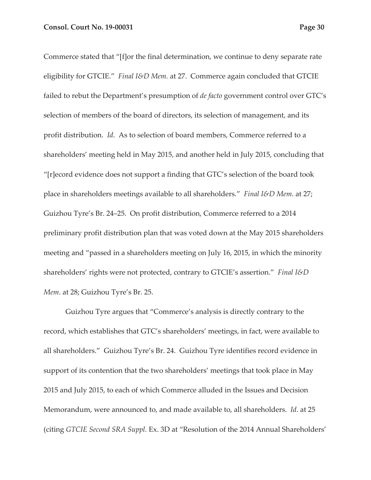Commerce stated that "[f]or the final determination, we continue to deny separate rate eligibility for GTCIE." *Final I&D Mem.* at 27. Commerce again concluded that GTCIE failed to rebut the Department's presumption of *de facto* government control over GTC's selection of members of the board of directors, its selection of management, and its profit distribution. *Id*. As to selection of board members, Commerce referred to a shareholders' meeting held in May 2015, and another held in July 2015, concluding that "[r]ecord evidence does not support a finding that GTC's selection of the board took place in shareholders meetings available to all shareholders." *Final I&D Mem*. at 27; Guizhou Tyre's Br. 24–25. On profit distribution, Commerce referred to a 2014 preliminary profit distribution plan that was voted down at the May 2015 shareholders meeting and "passed in a shareholders meeting on July 16, 2015, in which the minority shareholders' rights were not protected, contrary to GTCIE's assertion." *Final I&D Mem*. at 28; Guizhou Tyre's Br. 25.

Guizhou Tyre argues that "Commerce's analysis is directly contrary to the record, which establishes that GTC's shareholders' meetings, in fact, were available to all shareholders." Guizhou Tyre's Br. 24. Guizhou Tyre identifies record evidence in support of its contention that the two shareholders' meetings that took place in May 2015 and July 2015, to each of which Commerce alluded in the Issues and Decision Memorandum, were announced to, and made available to, all shareholders. *Id*. at 25 (citing *GTCIE Second SRA Suppl.* Ex. 3D at "Resolution of the 2014 Annual Shareholders'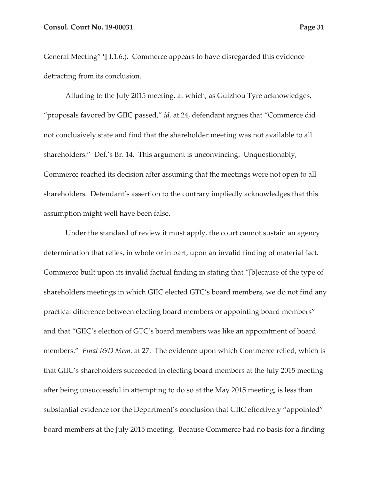General Meeting" ¶ I.1.6.). Commerce appears to have disregarded this evidence detracting from its conclusion.

Alluding to the July 2015 meeting, at which, as Guizhou Tyre acknowledges, "proposals favored by GIIC passed," *id.* at 24, defendant argues that "Commerce did not conclusively state and find that the shareholder meeting was not available to all shareholders." Def.'s Br. 14. This argument is unconvincing. Unquestionably, Commerce reached its decision after assuming that the meetings were not open to all shareholders. Defendant's assertion to the contrary impliedly acknowledges that this assumption might well have been false.

Under the standard of review it must apply, the court cannot sustain an agency determination that relies, in whole or in part, upon an invalid finding of material fact. Commerce built upon its invalid factual finding in stating that "[b]ecause of the type of shareholders meetings in which GIIC elected GTC's board members, we do not find any practical difference between electing board members or appointing board members" and that "GIIC's election of GTC's board members was like an appointment of board members." *Final I&D Mem.* at 27. The evidence upon which Commerce relied, which is that GIIC's shareholders succeeded in electing board members at the July 2015 meeting after being unsuccessful in attempting to do so at the May 2015 meeting, is less than substantial evidence for the Department's conclusion that GIIC effectively "appointed" board members at the July 2015 meeting. Because Commerce had no basis for a finding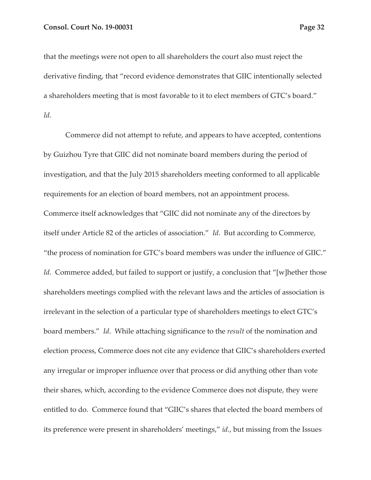that the meetings were not open to all shareholders the court also must reject the derivative finding, that "record evidence demonstrates that GIIC intentionally selected a shareholders meeting that is most favorable to it to elect members of GTC's board." *Id*.

Commerce did not attempt to refute, and appears to have accepted, contentions by Guizhou Tyre that GIIC did not nominate board members during the period of investigation, and that the July 2015 shareholders meeting conformed to all applicable requirements for an election of board members, not an appointment process. Commerce itself acknowledges that "GIIC did not nominate any of the directors by itself under Article 82 of the articles of association." *Id*. But according to Commerce, "the process of nomination for GTC's board members was under the influence of GIIC." *Id.* Commerce added, but failed to support or justify, a conclusion that "[w]hether those shareholders meetings complied with the relevant laws and the articles of association is irrelevant in the selection of a particular type of shareholders meetings to elect GTC's board members." *Id*. While attaching significance to the *result* of the nomination and election process, Commerce does not cite any evidence that GIIC's shareholders exerted any irregular or improper influence over that process or did anything other than vote their shares, which, according to the evidence Commerce does not dispute, they were entitled to do. Commerce found that "GIIC's shares that elected the board members of its preference were present in shareholders' meetings," *id.*, but missing from the Issues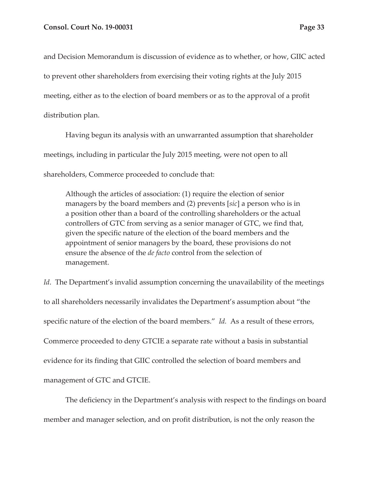and Decision Memorandum is discussion of evidence as to whether, or how, GIIC acted to prevent other shareholders from exercising their voting rights at the July 2015 meeting, either as to the election of board members or as to the approval of a profit distribution plan.

Having begun its analysis with an unwarranted assumption that shareholder meetings, including in particular the July 2015 meeting, were not open to all shareholders, Commerce proceeded to conclude that:

Although the articles of association: (1) require the election of senior managers by the board members and (2) prevents [*sic*] a person who is in a position other than a board of the controlling shareholders or the actual controllers of GTC from serving as a senior manager of GTC, we find that, given the specific nature of the election of the board members and the appointment of senior managers by the board, these provisions do not ensure the absence of the *de facto* control from the selection of management.

*Id.* The Department's invalid assumption concerning the unavailability of the meetings to all shareholders necessarily invalidates the Department's assumption about "the specific nature of the election of the board members." *Id.* As a result of these errors, Commerce proceeded to deny GTCIE a separate rate without a basis in substantial evidence for its finding that GIIC controlled the selection of board members and management of GTC and GTCIE.

The deficiency in the Department's analysis with respect to the findings on board member and manager selection, and on profit distribution, is not the only reason the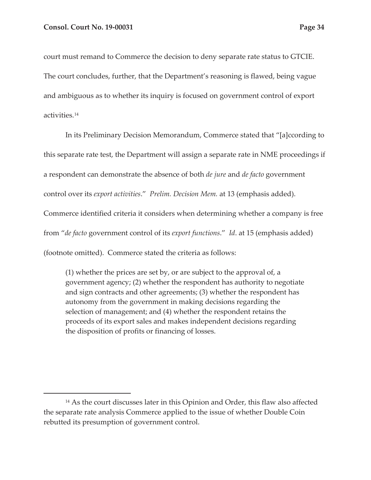court must remand to Commerce the decision to deny separate rate status to GTCIE. The court concludes, further, that the Department's reasoning is flawed, being vague and ambiguous as to whether its inquiry is focused on government control of export activities.14

In its Preliminary Decision Memorandum, Commerce stated that "[a]ccording to this separate rate test, the Department will assign a separate rate in NME proceedings if a respondent can demonstrate the absence of both *de jure* and *de facto* government control over its *export activities*." *Prelim. Decision Mem.* at 13 (emphasis added). Commerce identified criteria it considers when determining whether a company is free from "*de facto* government control of its *export functions*." *Id*. at 15 (emphasis added) (footnote omitted). Commerce stated the criteria as follows:

(1) whether the prices are set by, or are subject to the approval of, a government agency; (2) whether the respondent has authority to negotiate and sign contracts and other agreements; (3) whether the respondent has autonomy from the government in making decisions regarding the selection of management; and (4) whether the respondent retains the proceeds of its export sales and makes independent decisions regarding the disposition of profits or financing of losses.

<sup>&</sup>lt;sup>14</sup> As the court discusses later in this Opinion and Order, this flaw also affected the separate rate analysis Commerce applied to the issue of whether Double Coin rebutted its presumption of government control.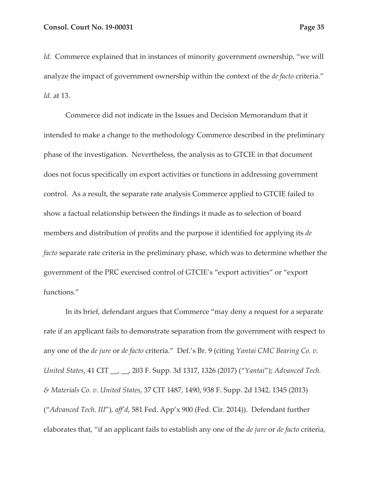Id. Commerce explained that in instances of minority government ownership, "we will analyze the impact of government ownership within the context of the *de facto* criteria." *Id.* at 13.

Commerce did not indicate in the Issues and Decision Memorandum that it intended to make a change to the methodology Commerce described in the preliminary phase of the investigation. Nevertheless, the analysis as to GTCIE in that document does not focus specifically on export activities or functions in addressing government control. As a result, the separate rate analysis Commerce applied to GTCIE failed to show a factual relationship between the findings it made as to selection of board members and distribution of profits and the purpose it identified for applying its *de facto* separate rate criteria in the preliminary phase, which was to determine whether the government of the PRC exercised control of GTCIE's "export activities" or "export functions."

In its brief, defendant argues that Commerce "may deny a request for a separate rate if an applicant fails to demonstrate separation from the government with respect to any one of the *de jure* or *de facto* criteria." Def.'s Br. 9 (citing *Yantai CMC Bearing Co. v. United States*, 41 CIT \_\_, \_\_, 203 F. Supp. 3d 1317, 1326 (2017) ("*Yantai*"); *Advanced Tech. & Materials Co. v. United States*, 37 CIT 1487, 1490, 938 F. Supp. 2d 1342, 1345 (2013) ("*Advanced Tech. III*"), *aff'd*, 581 Fed. App'x 900 (Fed. Cir. 2014)). Defendant further elaborates that, "if an applicant fails to establish any one of the *de jure* or *de facto* criteria,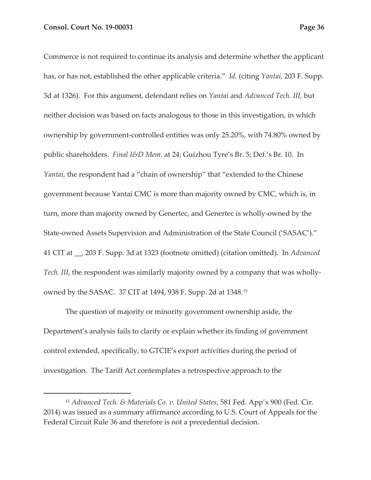Commerce is not required to continue its analysis and determine whether the applicant has, or has not, established the other applicable criteria." *Id.* (citing *Yantai*, 203 F. Supp. 3d at 1326). For this argument, defendant relies on *Yantai* and *Advanced Tech. III*, but neither decision was based on facts analogous to those in this investigation, in which ownership by government-controlled entities was only 25.20%, with 74.80% owned by public shareholders. *Final I&D Mem.* at 24; Guizhou Tyre's Br. 5; Def.'s Br. 10. In *Yantai*, the respondent had a "chain of ownership" that "extended to the Chinese government because Yantai CMC is more than majority owned by CMC, which is, in turn, more than majority owned by Genertec, and Genertec is wholly-owned by the State-owned Assets Supervision and Administration of the State Council ('SASAC')." 41 CIT at \_\_, 203 F. Supp. 3d at 1323 (footnote omitted) (citation omitted). In *Advanced Tech. III*, the respondent was similarly majority owned by a company that was whollyowned by the SASAC. 37 CIT at 1494, 938 F. Supp. 2d at 1348.15

The question of majority or minority government ownership aside, the Department's analysis fails to clarify or explain whether its finding of government control extended, specifically, to GTCIE's export activities during the period of investigation. The Tariff Act contemplates a retrospective approach to the

<sup>15</sup> *Advanced Tech. & Materials Co. v. United States*, 581 Fed. App'x 900 (Fed. Cir. 2014) was issued as a summary affirmance according to U.S. Court of Appeals for the Federal Circuit Rule 36 and therefore is not a precedential decision.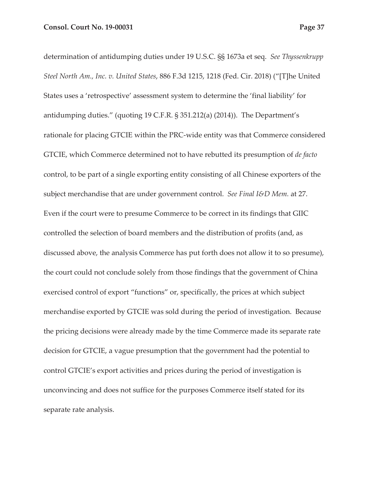determination of antidumping duties under 19 U.S.C. §§ 1673a et seq. *See Thyssenkrupp Steel North Am., Inc. v. United States*, 886 F.3d 1215, 1218 (Fed. Cir. 2018) ("[T]he United States uses a 'retrospective' assessment system to determine the 'final liability' for antidumping duties." (quoting 19 C.F.R. § 351.212(a) (2014)). The Department's rationale for placing GTCIE within the PRC-wide entity was that Commerce considered GTCIE, which Commerce determined not to have rebutted its presumption of *de facto*  control, to be part of a single exporting entity consisting of all Chinese exporters of the subject merchandise that are under government control. *See Final I&D Mem.* at 27. Even if the court were to presume Commerce to be correct in its findings that GIIC controlled the selection of board members and the distribution of profits (and, as discussed above, the analysis Commerce has put forth does not allow it to so presume), the court could not conclude solely from those findings that the government of China exercised control of export "functions" or, specifically, the prices at which subject merchandise exported by GTCIE was sold during the period of investigation. Because the pricing decisions were already made by the time Commerce made its separate rate decision for GTCIE, a vague presumption that the government had the potential to control GTCIE's export activities and prices during the period of investigation is unconvincing and does not suffice for the purposes Commerce itself stated for its separate rate analysis.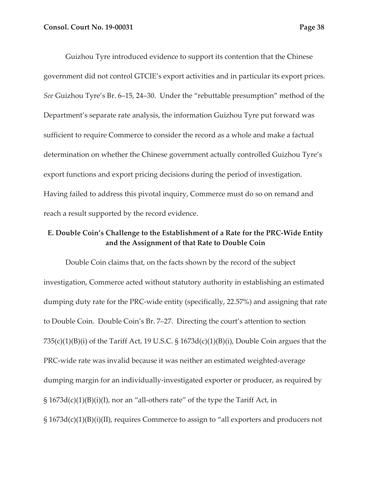Guizhou Tyre introduced evidence to support its contention that the Chinese government did not control GTCIE's export activities and in particular its export prices. *See* Guizhou Tyre's Br. 6–15, 24–30. Under the "rebuttable presumption" method of the Department's separate rate analysis, the information Guizhou Tyre put forward was sufficient to require Commerce to consider the record as a whole and make a factual determination on whether the Chinese government actually controlled Guizhou Tyre's export functions and export pricing decisions during the period of investigation. Having failed to address this pivotal inquiry, Commerce must do so on remand and reach a result supported by the record evidence.

# **E. Double Coin's Challenge to the Establishment of a Rate for the PRC-Wide Entity and the Assignment of that Rate to Double Coin**

Double Coin claims that, on the facts shown by the record of the subject investigation, Commerce acted without statutory authority in establishing an estimated dumping duty rate for the PRC-wide entity (specifically, 22.57%) and assigning that rate to Double Coin. Double Coin's Br. 7–27. Directing the court's attention to section  $735(c)(1)(B)(i)$  of the Tariff Act, 19 U.S.C. § 1673d(c)(1)(B)(i), Double Coin argues that the PRC-wide rate was invalid because it was neither an estimated weighted-average dumping margin for an individually-investigated exporter or producer, as required by  $\S 1673d(c)(1)(B)(i)(I)$ , nor an "all-others rate" of the type the Tariff Act, in § 1673d(c)(1)(B)(i)(II), requires Commerce to assign to "all exporters and producers not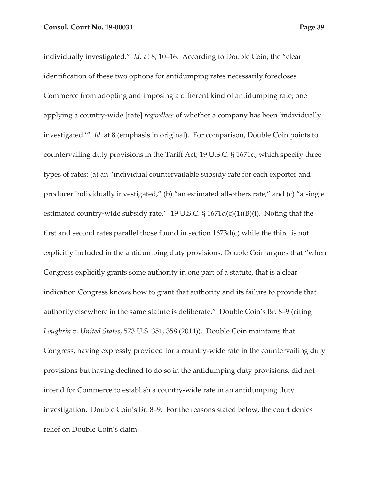individually investigated." *Id.* at 8, 10–16. According to Double Coin, the "clear identification of these two options for antidumping rates necessarily forecloses Commerce from adopting and imposing a different kind of antidumping rate; one applying a country-wide [rate] *regardless* of whether a company has been 'individually investigated.'" *Id.* at 8 (emphasis in original). For comparison, Double Coin points to countervailing duty provisions in the Tariff Act, 19 U.S.C. § 1671d, which specify three types of rates: (a) an "individual countervailable subsidy rate for each exporter and producer individually investigated," (b) "an estimated all-others rate," and (c) "a single estimated country-wide subsidy rate." 19 U.S.C. § 1671d(c)(1)(B)(i). Noting that the first and second rates parallel those found in section 1673d(c) while the third is not explicitly included in the antidumping duty provisions, Double Coin argues that "when Congress explicitly grants some authority in one part of a statute, that is a clear indication Congress knows how to grant that authority and its failure to provide that authority elsewhere in the same statute is deliberate." Double Coin's Br. 8–9 (citing *Loughrin v. United States*, 573 U.S. 351, 358 (2014)). Double Coin maintains that Congress, having expressly provided for a country-wide rate in the countervailing duty provisions but having declined to do so in the antidumping duty provisions, did not intend for Commerce to establish a country-wide rate in an antidumping duty investigation. Double Coin's Br. 8–9. For the reasons stated below, the court denies relief on Double Coin's claim.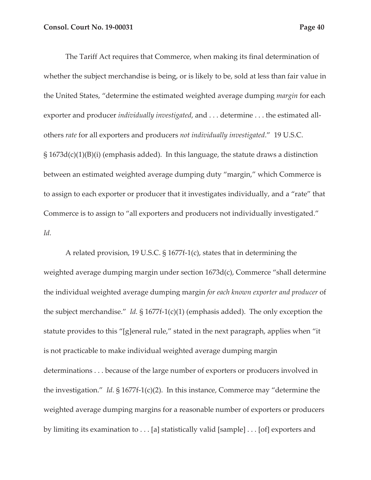The Tariff Act requires that Commerce, when making its final determination of whether the subject merchandise is being, or is likely to be, sold at less than fair value in the United States, "determine the estimated weighted average dumping *margin* for each exporter and producer *individually investigated*, and . . . determine . . . the estimated allothers *rate* for all exporters and producers *not individually investigated*." 19 U.S.C.  $\S 1673d(c)(1)(B)(i)$  (emphasis added). In this language, the statute draws a distinction between an estimated weighted average dumping duty "margin," which Commerce is to assign to each exporter or producer that it investigates individually, and a "rate" that Commerce is to assign to "all exporters and producers not individually investigated." *Id.* 

A related provision, 19 U.S.C. § 1677f-1(c), states that in determining the weighted average dumping margin under section 1673d(c), Commerce "shall determine the individual weighted average dumping margin *for each known exporter and producer* of the subject merchandise." *Id.* § 1677f-1(c)(1) (emphasis added). The only exception the statute provides to this "[g]eneral rule," stated in the next paragraph, applies when "it is not practicable to make individual weighted average dumping margin determinations . . . because of the large number of exporters or producers involved in the investigation." *Id.* § 1677f-1(c)(2). In this instance, Commerce may "determine the weighted average dumping margins for a reasonable number of exporters or producers by limiting its examination to . . . [a] statistically valid [sample] . . . [of] exporters and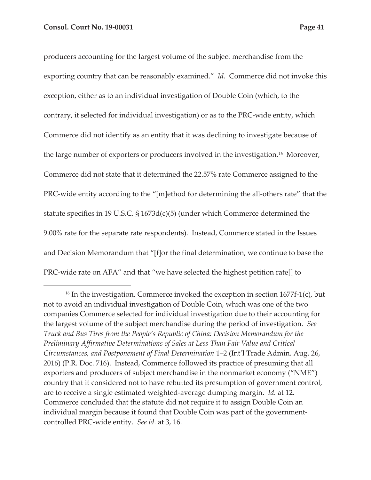producers accounting for the largest volume of the subject merchandise from the exporting country that can be reasonably examined." *Id.* Commerce did not invoke this exception, either as to an individual investigation of Double Coin (which, to the contrary, it selected for individual investigation) or as to the PRC-wide entity, which Commerce did not identify as an entity that it was declining to investigate because of the large number of exporters or producers involved in the investigation.<sup>16</sup> Moreover, Commerce did not state that it determined the 22.57% rate Commerce assigned to the PRC-wide entity according to the "[m]ethod for determining the all-others rate" that the statute specifies in 19 U.S.C. § 1673d(c)(5) (under which Commerce determined the 9.00% rate for the separate rate respondents). Instead, Commerce stated in the Issues and Decision Memorandum that "[f]or the final determination, we continue to base the PRC-wide rate on AFA" and that "we have selected the highest petition rate[] to

<sup>&</sup>lt;sup>16</sup> In the investigation, Commerce invoked the exception in section  $1677f-1(c)$ , but not to avoid an individual investigation of Double Coin, which was one of the two companies Commerce selected for individual investigation due to their accounting for the largest volume of the subject merchandise during the period of investigation. *See Truck and Bus Tires from the People's Republic of China: Decision Memorandum for the Preliminary Affirmative Determinations of Sales at Less Than Fair Value and Critical Circumstances, and Postponement of Final Determination* 1–2 (Int'l Trade Admin. Aug. 26, 2016) (P.R. Doc. 716). Instead, Commerce followed its practice of presuming that all exporters and producers of subject merchandise in the nonmarket economy ("NME") country that it considered not to have rebutted its presumption of government control, are to receive a single estimated weighted-average dumping margin. *Id.* at 12. Commerce concluded that the statute did not require it to assign Double Coin an individual margin because it found that Double Coin was part of the governmentcontrolled PRC-wide entity. *See id.* at 3, 16.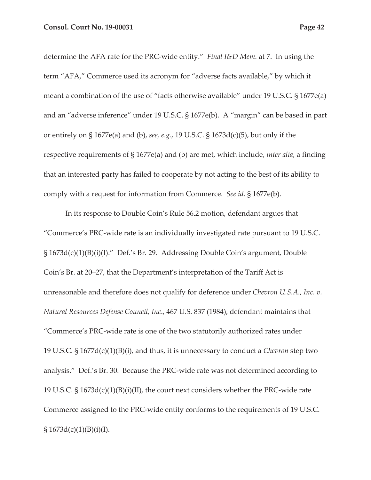determine the AFA rate for the PRC-wide entity." *Final I&D Mem.* at 7. In using the term "AFA," Commerce used its acronym for "adverse facts available," by which it meant a combination of the use of "facts otherwise available" under 19 U.S.C. § 1677e(a) and an "adverse inference" under 19 U.S.C. § 1677e(b). A "margin" can be based in part or entirely on § 1677e(a) and (b), *see, e.g.*, 19 U.S.C. § 1673d(c)(5), but only if the respective requirements of § 1677e(a) and (b) are met, which include, *inter alia*, a finding that an interested party has failed to cooperate by not acting to the best of its ability to comply with a request for information from Commerce. *See id.* § 1677e(b).

In its response to Double Coin's Rule 56.2 motion, defendant argues that "Commerce's PRC-wide rate is an individually investigated rate pursuant to 19 U.S.C. § 1673d(c)(1)(B)(i)(I)." Def.'s Br. 29. Addressing Double Coin's argument, Double Coin's Br. at 20–27, that the Department's interpretation of the Tariff Act is unreasonable and therefore does not qualify for deference under *Chevron U.S.A., Inc. v. Natural Resources Defense Council, Inc*., 467 U.S. 837 (1984), defendant maintains that "Commerce's PRC-wide rate is one of the two statutorily authorized rates under 19 U.S.C. § 1677d(c)(1)(B)(i), and thus, it is unnecessary to conduct a *Chevron* step two analysis." Def.'s Br. 30. Because the PRC-wide rate was not determined according to 19 U.S.C. § 1673d(c)(1)(B)(i)(II), the court next considers whether the PRC-wide rate Commerce assigned to the PRC-wide entity conforms to the requirements of 19 U.S.C.  $§ 1673d(c)(1)(B)(i)(I).$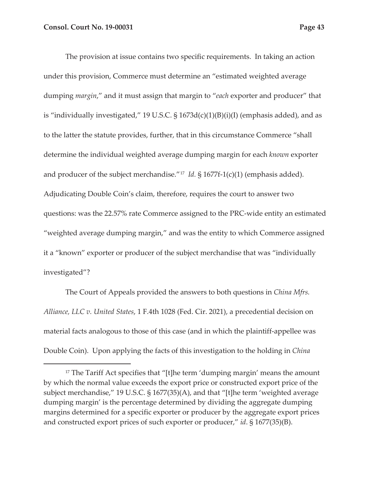The provision at issue contains two specific requirements. In taking an action under this provision, Commerce must determine an "estimated weighted average dumping *margin*," and it must assign that margin to "*each* exporter and producer" that is "individually investigated," 19 U.S.C.  $\S$  1673d(c)(1)(B)(i)(I) (emphasis added), and as to the latter the statute provides, further, that in this circumstance Commerce "shall determine the individual weighted average dumping margin for each *known* exporter and producer of the subject merchandise."17 *Id.* § 1677f-1(c)(1) (emphasis added). Adjudicating Double Coin's claim, therefore, requires the court to answer two questions: was the 22.57% rate Commerce assigned to the PRC-wide entity an estimated "weighted average dumping margin," and was the entity to which Commerce assigned it a "known" exporter or producer of the subject merchandise that was "individually investigated"?

The Court of Appeals provided the answers to both questions in *China Mfrs. Alliance, LLC v. United States*, 1 F.4th 1028 (Fed. Cir. 2021), a precedential decision on material facts analogous to those of this case (and in which the plaintiff-appellee was Double Coin). Upon applying the facts of this investigation to the holding in *China* 

 $17$  The Tariff Act specifies that "[t]he term 'dumping margin' means the amount by which the normal value exceeds the export price or constructed export price of the subject merchandise," 19 U.S.C. § 1677(35)(A), and that "[t]he term 'weighted average dumping margin' is the percentage determined by dividing the aggregate dumping margins determined for a specific exporter or producer by the aggregate export prices and constructed export prices of such exporter or producer," *id*. § 1677(35)(B).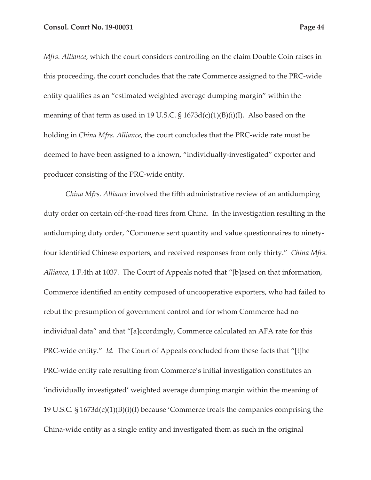*Mfrs. Alliance*, which the court considers controlling on the claim Double Coin raises in this proceeding, the court concludes that the rate Commerce assigned to the PRC-wide entity qualifies as an "estimated weighted average dumping margin" within the meaning of that term as used in 19 U.S.C. § 1673d(c)(1)(B)(i)(I). Also based on the holding in *China Mfrs. Alliance*, the court concludes that the PRC-wide rate must be deemed to have been assigned to a known, "individually-investigated" exporter and producer consisting of the PRC-wide entity.

*China Mfrs. Alliance* involved the fifth administrative review of an antidumping duty order on certain off-the-road tires from China. In the investigation resulting in the antidumping duty order, "Commerce sent quantity and value questionnaires to ninetyfour identified Chinese exporters, and received responses from only thirty." *China Mfrs. Alliance*, 1 F.4th at 1037. The Court of Appeals noted that "[b]ased on that information, Commerce identified an entity composed of uncooperative exporters, who had failed to rebut the presumption of government control and for whom Commerce had no individual data" and that "[a]ccordingly, Commerce calculated an AFA rate for this PRC-wide entity." *Id.* The Court of Appeals concluded from these facts that "[t]he PRC-wide entity rate resulting from Commerce's initial investigation constitutes an 'individually investigated' weighted average dumping margin within the meaning of 19 U.S.C. § 1673d(c)(1)(B)(i)(I) because 'Commerce treats the companies comprising the China-wide entity as a single entity and investigated them as such in the original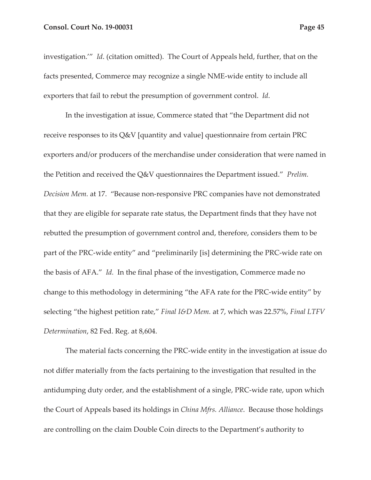#### **Consol. Court No. 19-00031 Page 45 Page 45**

investigation.'" *Id*. (citation omitted). The Court of Appeals held, further, that on the facts presented, Commerce may recognize a single NME-wide entity to include all exporters that fail to rebut the presumption of government control. *Id*.

In the investigation at issue, Commerce stated that "the Department did not receive responses to its Q&V [quantity and value] questionnaire from certain PRC exporters and/or producers of the merchandise under consideration that were named in the Petition and received the Q&V questionnaires the Department issued." *Prelim. Decision Mem.* at 17. "Because non-responsive PRC companies have not demonstrated that they are eligible for separate rate status, the Department finds that they have not rebutted the presumption of government control and, therefore, considers them to be part of the PRC-wide entity" and "preliminarily [is] determining the PRC-wide rate on the basis of AFA." *Id.* In the final phase of the investigation, Commerce made no change to this methodology in determining "the AFA rate for the PRC-wide entity" by selecting "the highest petition rate," *Final I&D Mem.* at 7, which was 22.57%, *Final LTFV Determination*, 82 Fed. Reg. at 8,604.

The material facts concerning the PRC-wide entity in the investigation at issue do not differ materially from the facts pertaining to the investigation that resulted in the antidumping duty order, and the establishment of a single, PRC-wide rate, upon which the Court of Appeals based its holdings in *China Mfrs. Alliance*. Because those holdings are controlling on the claim Double Coin directs to the Department's authority to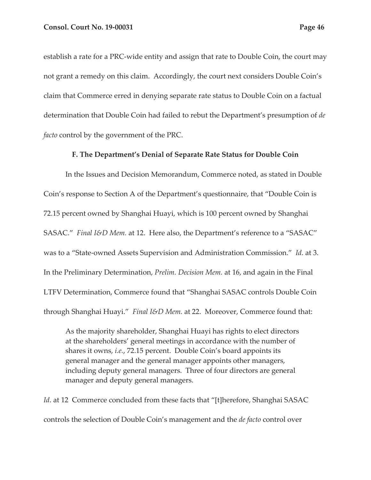establish a rate for a PRC-wide entity and assign that rate to Double Coin, the court may not grant a remedy on this claim. Accordingly, the court next considers Double Coin's claim that Commerce erred in denying separate rate status to Double Coin on a factual determination that Double Coin had failed to rebut the Department's presumption of *de facto* control by the government of the PRC.

#### **F. The Department's Denial of Separate Rate Status for Double Coin**

In the Issues and Decision Memorandum, Commerce noted, as stated in Double Coin's response to Section A of the Department's questionnaire, that "Double Coin is 72.15 percent owned by Shanghai Huayi, which is 100 percent owned by Shanghai SASAC." *Final I&D Mem.* at 12. Here also, the Department's reference to a "SASAC" was to a "State-owned Assets Supervision and Administration Commission." *Id*. at 3. In the Preliminary Determination, *Prelim. Decision Mem.* at 16, and again in the Final LTFV Determination, Commerce found that "Shanghai SASAC controls Double Coin through Shanghai Huayi." *Final I&D Mem.* at 22. Moreover, Commerce found that:

As the majority shareholder, Shanghai Huayi has rights to elect directors at the shareholders' general meetings in accordance with the number of shares it owns, *i.e.*, 72.15 percent. Double Coin's board appoints its general manager and the general manager appoints other managers, including deputy general managers. Three of four directors are general manager and deputy general managers.

*Id*. at 12 Commerce concluded from these facts that "[t]herefore, Shanghai SASAC controls the selection of Double Coin's management and the *de facto* control over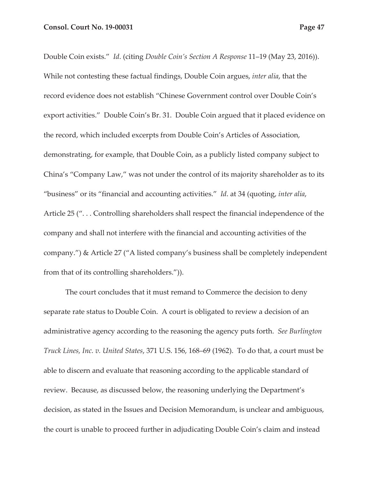Double Coin exists." *Id*. (citing *Double Coin's Section A Response* 11–19 (May 23, 2016)). While not contesting these factual findings, Double Coin argues, *inter alia*, that the record evidence does not establish "Chinese Government control over Double Coin's export activities." Double Coin's Br. 31. Double Coin argued that it placed evidence on the record, which included excerpts from Double Coin's Articles of Association, demonstrating, for example, that Double Coin, as a publicly listed company subject to China's "Company Law," was not under the control of its majority shareholder as to its "business" or its "financial and accounting activities." *Id*. at 34 (quoting, *inter alia*, Article 25 (". . . Controlling shareholders shall respect the financial independence of the company and shall not interfere with the financial and accounting activities of the company.") & Article 27 ("A listed company's business shall be completely independent from that of its controlling shareholders.")).

The court concludes that it must remand to Commerce the decision to deny separate rate status to Double Coin. A court is obligated to review a decision of an administrative agency according to the reasoning the agency puts forth. *See Burlington Truck Lines, Inc. v. United States*, 371 U.S. 156, 168–69 (1962). To do that, a court must be able to discern and evaluate that reasoning according to the applicable standard of review. Because, as discussed below, the reasoning underlying the Department's decision, as stated in the Issues and Decision Memorandum, is unclear and ambiguous, the court is unable to proceed further in adjudicating Double Coin's claim and instead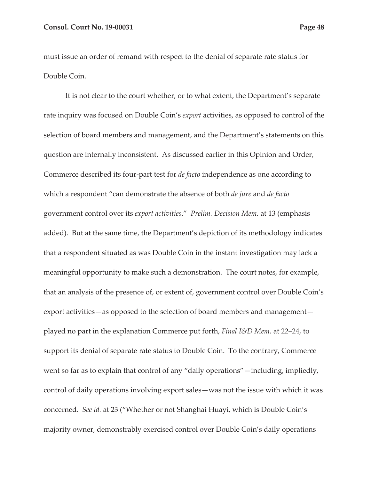must issue an order of remand with respect to the denial of separate rate status for Double Coin.

It is not clear to the court whether, or to what extent, the Department's separate rate inquiry was focused on Double Coin's *export* activities, as opposed to control of the selection of board members and management, and the Department's statements on this question are internally inconsistent. As discussed earlier in this Opinion and Order, Commerce described its four-part test for *de facto* independence as one according to which a respondent "can demonstrate the absence of both *de jure* and *de facto*  government control over its *export activities*." *Prelim. Decision Mem.* at 13 (emphasis added). But at the same time, the Department's depiction of its methodology indicates that a respondent situated as was Double Coin in the instant investigation may lack a meaningful opportunity to make such a demonstration. The court notes, for example, that an analysis of the presence of, or extent of, government control over Double Coin's export activities—as opposed to the selection of board members and management played no part in the explanation Commerce put forth, *Final I&D Mem.* at 22–24, to support its denial of separate rate status to Double Coin. To the contrary, Commerce went so far as to explain that control of any "daily operations"—including, impliedly, control of daily operations involving export sales—was not the issue with which it was concerned. *See id.* at 23 ("Whether or not Shanghai Huayi, which is Double Coin's majority owner, demonstrably exercised control over Double Coin's daily operations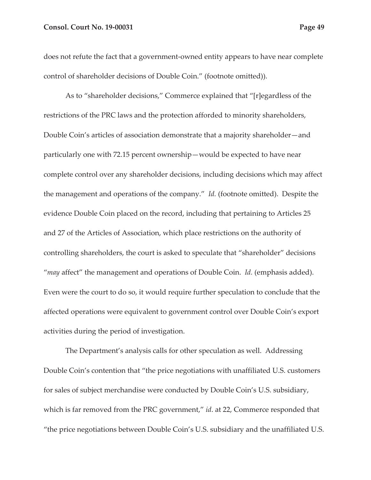#### **Consol. Court No. 19-00031 Page 49 Page 49 Page 49**

does not refute the fact that a government-owned entity appears to have near complete control of shareholder decisions of Double Coin." (footnote omitted)).

As to "shareholder decisions," Commerce explained that "[r]egardless of the restrictions of the PRC laws and the protection afforded to minority shareholders, Double Coin's articles of association demonstrate that a majority shareholder—and particularly one with 72.15 percent ownership—would be expected to have near complete control over any shareholder decisions, including decisions which may affect the management and operations of the company." *Id.* (footnote omitted). Despite the evidence Double Coin placed on the record, including that pertaining to Articles 25 and 27 of the Articles of Association, which place restrictions on the authority of controlling shareholders, the court is asked to speculate that "shareholder" decisions "*may* affect" the management and operations of Double Coin. *Id.* (emphasis added). Even were the court to do so, it would require further speculation to conclude that the affected operations were equivalent to government control over Double Coin's export activities during the period of investigation.

The Department's analysis calls for other speculation as well. Addressing Double Coin's contention that "the price negotiations with unaffiliated U.S. customers for sales of subject merchandise were conducted by Double Coin's U.S. subsidiary, which is far removed from the PRC government," *id.* at 22, Commerce responded that "the price negotiations between Double Coin's U.S. subsidiary and the unaffiliated U.S.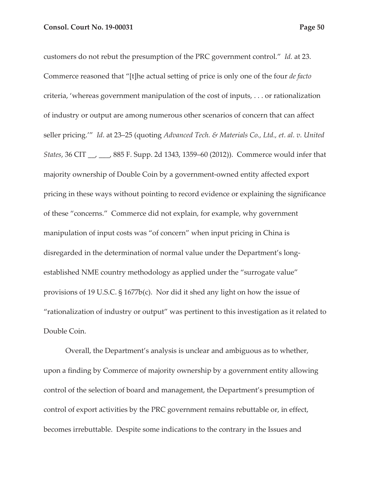customers do not rebut the presumption of the PRC government control." *Id.* at 23. Commerce reasoned that "[t]he actual setting of price is only one of the four *de facto*  criteria, 'whereas government manipulation of the cost of inputs, . . . or rationalization of industry or output are among numerous other scenarios of concern that can affect seller pricing.'" *Id*. at 23–25 (quoting *Advanced Tech. & Materials Co., Ltd., et. al. v. United States*, 36 CIT \_\_, \_\_\_, 885 F. Supp. 2d 1343, 1359–60 (2012)). Commerce would infer that majority ownership of Double Coin by a government-owned entity affected export pricing in these ways without pointing to record evidence or explaining the significance of these "concerns." Commerce did not explain, for example, why government manipulation of input costs was "of concern" when input pricing in China is disregarded in the determination of normal value under the Department's longestablished NME country methodology as applied under the "surrogate value" provisions of 19 U.S.C. § 1677b(c). Nor did it shed any light on how the issue of "rationalization of industry or output" was pertinent to this investigation as it related to Double Coin.

Overall, the Department's analysis is unclear and ambiguous as to whether, upon a finding by Commerce of majority ownership by a government entity allowing control of the selection of board and management, the Department's presumption of control of export activities by the PRC government remains rebuttable or, in effect, becomes irrebuttable. Despite some indications to the contrary in the Issues and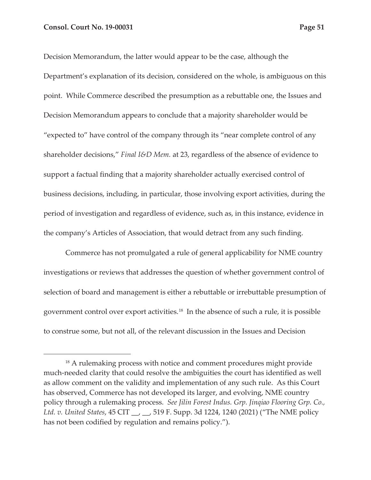Decision Memorandum, the latter would appear to be the case, although the Department's explanation of its decision, considered on the whole, is ambiguous on this point. While Commerce described the presumption as a rebuttable one, the Issues and Decision Memorandum appears to conclude that a majority shareholder would be "expected to" have control of the company through its "near complete control of any shareholder decisions," *Final I&D Mem.* at 23, regardless of the absence of evidence to support a factual finding that a majority shareholder actually exercised control of business decisions, including, in particular, those involving export activities, during the period of investigation and regardless of evidence, such as, in this instance, evidence in the company's Articles of Association, that would detract from any such finding.

Commerce has not promulgated a rule of general applicability for NME country investigations or reviews that addresses the question of whether government control of selection of board and management is either a rebuttable or irrebuttable presumption of government control over export activities.18 In the absence of such a rule, it is possible to construe some, but not all, of the relevant discussion in the Issues and Decision

<sup>&</sup>lt;sup>18</sup> A rulemaking process with notice and comment procedures might provide much-needed clarity that could resolve the ambiguities the court has identified as well as allow comment on the validity and implementation of any such rule. As this Court has observed, Commerce has not developed its larger, and evolving, NME country policy through a rulemaking process. *See Jilin Forest Indus. Grp. Jinqiao Flooring Grp. Co., Ltd. v. United States, 45 CIT \_\_, \_\_, 519 F. Supp. 3d 1224, 1240 (2021) ("The NME policy* has not been codified by regulation and remains policy.").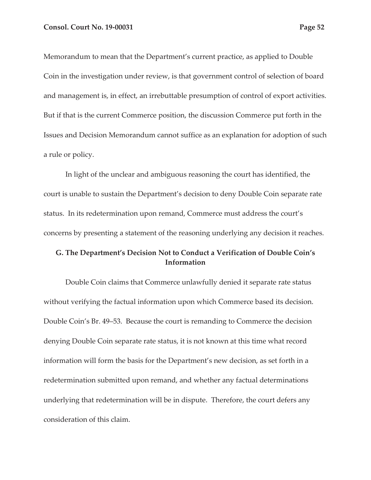Memorandum to mean that the Department's current practice, as applied to Double Coin in the investigation under review, is that government control of selection of board and management is, in effect, an irrebuttable presumption of control of export activities. But if that is the current Commerce position, the discussion Commerce put forth in the Issues and Decision Memorandum cannot suffice as an explanation for adoption of such a rule or policy.

In light of the unclear and ambiguous reasoning the court has identified, the court is unable to sustain the Department's decision to deny Double Coin separate rate status. In its redetermination upon remand, Commerce must address the court's concerns by presenting a statement of the reasoning underlying any decision it reaches.

## **G. The Department's Decision Not to Conduct a Verification of Double Coin's Information**

Double Coin claims that Commerce unlawfully denied it separate rate status without verifying the factual information upon which Commerce based its decision. Double Coin's Br. 49–53. Because the court is remanding to Commerce the decision denying Double Coin separate rate status, it is not known at this time what record information will form the basis for the Department's new decision, as set forth in a redetermination submitted upon remand, and whether any factual determinations underlying that redetermination will be in dispute. Therefore, the court defers any consideration of this claim.